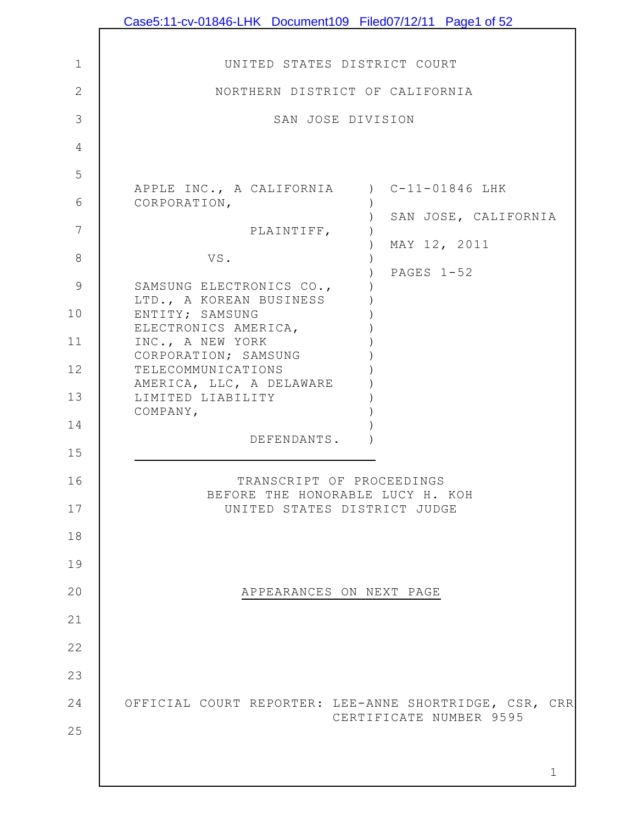|                | Case5:11-cv-01846-LHK Document109 Filed07/12/11 Page1 of 52                       |
|----------------|-----------------------------------------------------------------------------------|
|                |                                                                                   |
| $\mathbf 1$    | UNITED STATES DISTRICT COURT                                                      |
| $\overline{2}$ | NORTHERN DISTRICT OF CALIFORNIA                                                   |
| 3              | SAN JOSE DIVISION                                                                 |
| 4              |                                                                                   |
| 5              |                                                                                   |
| 6              | APPLE INC., A CALIFORNIA ) C-11-01846 LHK<br>CORPORATION,                         |
| 7              | SAN JOSE, CALIFORNIA<br>PLAINTIFF,                                                |
| 8              | MAY 12, 2011<br>VS.                                                               |
| 9              | PAGES 1-52<br>SAMSUNG ELECTRONICS CO.,                                            |
| 10             | LTD., A KOREAN BUSINESS<br>ENTITY; SAMSUNG                                        |
| 11             | ELECTRONICS AMERICA,<br>INC., A NEW YORK                                          |
| 12             | CORPORATION; SAMSUNG<br>TELECOMMUNICATIONS                                        |
| 13             | AMERICA, LLC, A DELAWARE<br>LIMITED LIABILITY                                     |
| 14             | COMPANY,                                                                          |
| 15             | DEFENDANTS.                                                                       |
|                | TRANSCRIPT OF PROCEEDINGS                                                         |
| 16             | BEFORE THE HONORABLE LUCY H. KOH                                                  |
| 17             | UNITED STATES DISTRICT JUDGE                                                      |
| 18             |                                                                                   |
| 19             |                                                                                   |
| 20             | APPEARANCES ON NEXT PAGE                                                          |
| 21             |                                                                                   |
| 22             |                                                                                   |
| 23             |                                                                                   |
| 24             | OFFICIAL COURT REPORTER: LEE-ANNE SHORTRIDGE, CSR, CRR<br>CERTIFICATE NUMBER 9595 |
| 25             |                                                                                   |
|                | 1                                                                                 |
|                |                                                                                   |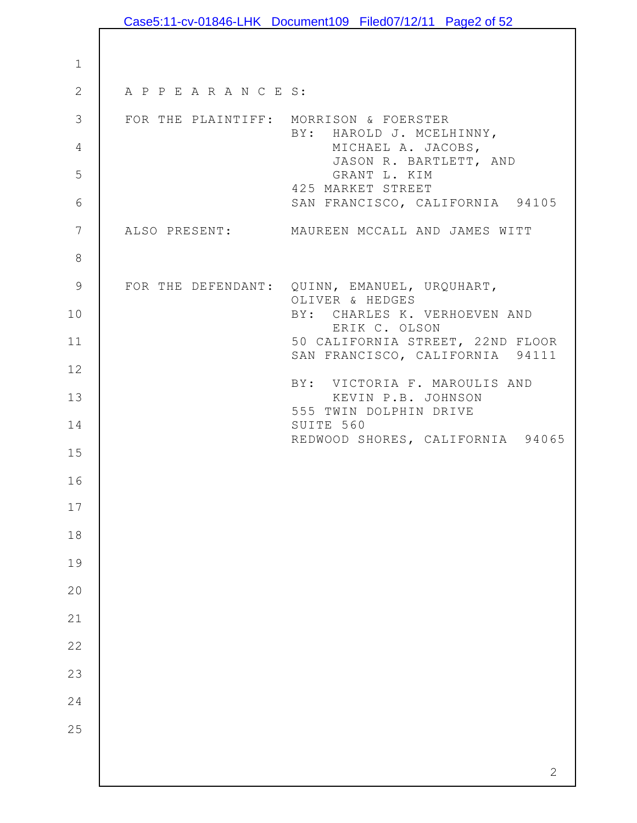|                 |                                              | Case5:11-cv-01846-LHK Document109 Filed07/12/11 Page2 of 52         |
|-----------------|----------------------------------------------|---------------------------------------------------------------------|
|                 |                                              |                                                                     |
| $\mathbf 1$     |                                              |                                                                     |
| $\mathbf{2}$    | A P P E A R A N C E S:                       |                                                                     |
| $\mathcal{S}$   | FOR THE PLAINTIFF: MORRISON & FOERSTER       | BY: HAROLD J. MCELHINNY,                                            |
| 4<br>5          |                                              | MICHAEL A. JACOBS,<br>JASON R. BARTLETT, AND<br>GRANT L. KIM        |
| $\sqrt{6}$      |                                              | 425 MARKET STREET<br>SAN FRANCISCO, CALIFORNIA 94105                |
| $7\phantom{.0}$ |                                              | ALSO PRESENT: MAUREEN MCCALL AND JAMES WITT                         |
| $\,8\,$         |                                              |                                                                     |
| $\mathcal{G}$   | FOR THE DEFENDANT: QUINN, EMANUEL, URQUHART, | OLIVER & HEDGES                                                     |
| 10              |                                              | BY: CHARLES K. VERHOEVEN AND<br>ERIK C. OLSON                       |
| 11              |                                              | 50 CALIFORNIA STREET, 22ND FLOOR<br>SAN FRANCISCO, CALIFORNIA 94111 |
| 12              |                                              |                                                                     |
| 13              |                                              | BY: VICTORIA F. MAROULIS AND<br>KEVIN P.B. JOHNSON                  |
| 14              |                                              | 555 TWIN DOLPHIN DRIVE<br>SUITE 560                                 |
| 15              |                                              | REDWOOD SHORES, CALIFORNIA 94065                                    |
| 16              |                                              |                                                                     |
| 17              |                                              |                                                                     |
| 18              |                                              |                                                                     |
| 19              |                                              |                                                                     |
| 20              |                                              |                                                                     |
| 21              |                                              |                                                                     |
| 22              |                                              |                                                                     |
| 23              |                                              |                                                                     |
| 24              |                                              |                                                                     |
| 25              |                                              |                                                                     |
|                 |                                              |                                                                     |
|                 |                                              | $\mathbf{2}$                                                        |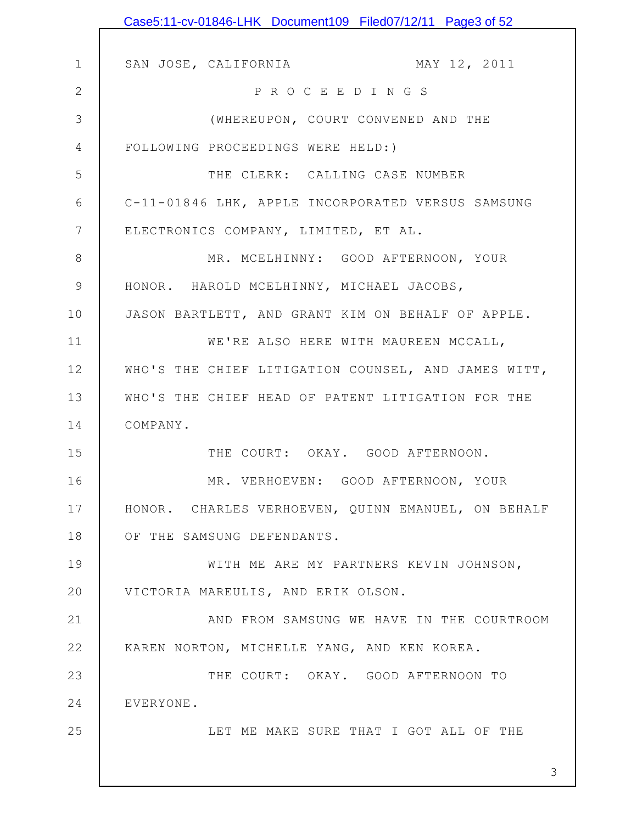|              | Case5:11-cv-01846-LHK Document109 Filed07/12/11 Page3 of 52 |
|--------------|-------------------------------------------------------------|
|              |                                                             |
| $\mathbf 1$  | MAY 12, 2011<br>SAN JOSE, CALIFORNIA                        |
| $\mathbf{2}$ | PROCEEDINGS                                                 |
| 3            | (WHEREUPON, COURT CONVENED AND THE                          |
| 4            | FOLLOWING PROCEEDINGS WERE HELD:)                           |
| 5            | THE CLERK: CALLING CASE NUMBER                              |
| 6            | C-11-01846 LHK, APPLE INCORPORATED VERSUS SAMSUNG           |
| 7            | ELECTRONICS COMPANY, LIMITED, ET AL.                        |
| $8\,$        | MR. MCELHINNY: GOOD AFTERNOON, YOUR                         |
| $\mathsf 9$  | HONOR. HAROLD MCELHINNY, MICHAEL JACOBS,                    |
| 10           | JASON BARTLETT, AND GRANT KIM ON BEHALF OF APPLE.           |
| 11           | WE'RE ALSO HERE WITH MAUREEN MCCALL,                        |
| 12           | WHO'S THE CHIEF LITIGATION COUNSEL, AND JAMES WITT,         |
| 13           | WHO'S THE CHIEF HEAD OF PATENT LITIGATION FOR THE           |
| 14           | COMPANY.                                                    |
| 15           | THE COURT: OKAY. GOOD AFTERNOON.                            |
| 16           | MR. VERHOEVEN: GOOD AFTERNOON, YOUR                         |
| 17           | HONOR. CHARLES VERHOEVEN, QUINN EMANUEL, ON BEHALF          |
| 18           | OF THE SAMSUNG DEFENDANTS.                                  |
| 19           | WITH ME ARE MY PARTNERS KEVIN JOHNSON,                      |
| 20           | VICTORIA MAREULIS, AND ERIK OLSON.                          |
| 21           | AND FROM SAMSUNG WE HAVE IN THE COURTROOM                   |
| 22           | KAREN NORTON, MICHELLE YANG, AND KEN KOREA.                 |
| 23           | THE COURT: OKAY. GOOD AFTERNOON TO                          |
| 24           | EVERYONE.                                                   |
| 25           | LET ME MAKE SURE THAT I GOT ALL OF THE                      |
|              |                                                             |
|              | 3                                                           |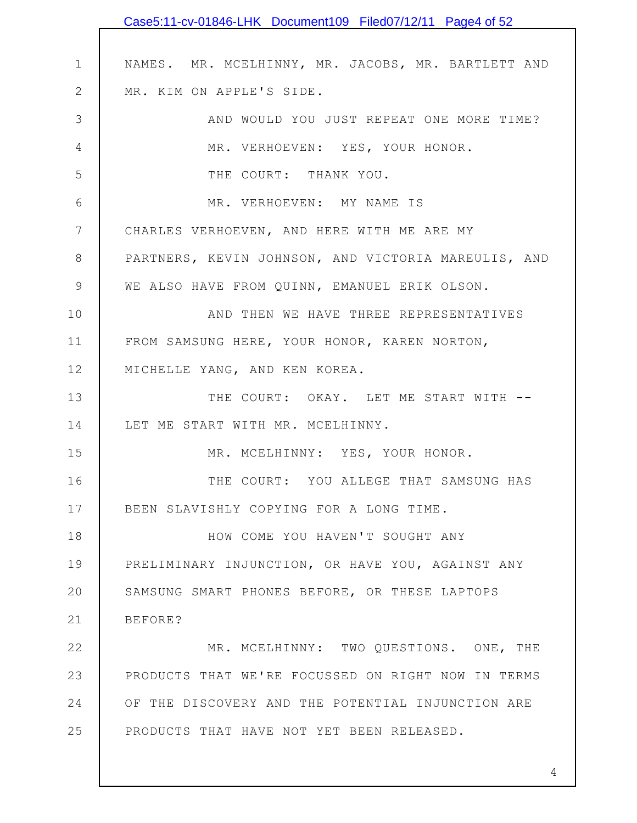|                 | Case5:11-cv-01846-LHK Document109 Filed07/12/11 Page4 of 52 |
|-----------------|-------------------------------------------------------------|
|                 |                                                             |
| $\mathbf 1$     | NAMES. MR. MCELHINNY, MR. JACOBS, MR. BARTLETT AND          |
| $\mathbf{2}$    | MR. KIM ON APPLE'S SIDE.                                    |
| 3               | AND WOULD YOU JUST REPEAT ONE MORE TIME?                    |
| 4               | MR. VERHOEVEN: YES, YOUR HONOR.                             |
| 5               | THE COURT: THANK YOU.                                       |
| 6               | MR. VERHOEVEN: MY NAME IS                                   |
| $7\phantom{.0}$ | CHARLES VERHOEVEN, AND HERE WITH ME ARE MY                  |
| 8               | PARTNERS, KEVIN JOHNSON, AND VICTORIA MAREULIS, AND         |
| $\mathsf 9$     | WE ALSO HAVE FROM QUINN, EMANUEL ERIK OLSON.                |
| 10              | AND THEN WE HAVE THREE REPRESENTATIVES                      |
| 11              | FROM SAMSUNG HERE, YOUR HONOR, KAREN NORTON,                |
| 12              | MICHELLE YANG, AND KEN KOREA.                               |
| 13              | THE COURT: OKAY. LET ME START WITH --                       |
| 14              | LET ME START WITH MR. MCELHINNY.                            |
| 15              | MR. MCELHINNY: YES, YOUR HONOR.                             |
| 16              | THE COURT: YOU ALLEGE THAT SAMSUNG HAS                      |
| 17              | BEEN SLAVISHLY COPYING FOR A LONG TIME.                     |
| 18              | HOW COME YOU HAVEN'T SOUGHT ANY                             |
| 19              | PRELIMINARY INJUNCTION, OR HAVE YOU, AGAINST ANY            |
| 20              | SAMSUNG SMART PHONES BEFORE, OR THESE LAPTOPS               |
| 21              | BEFORE?                                                     |
| 22              | MR. MCELHINNY: TWO QUESTIONS. ONE, THE                      |
| 23              | PRODUCTS THAT WE'RE FOCUSSED ON RIGHT NOW IN TERMS          |
| 24              | OF THE DISCOVERY AND THE POTENTIAL INJUNCTION ARE           |
| 25              | PRODUCTS THAT HAVE NOT YET BEEN RELEASED.                   |
|                 |                                                             |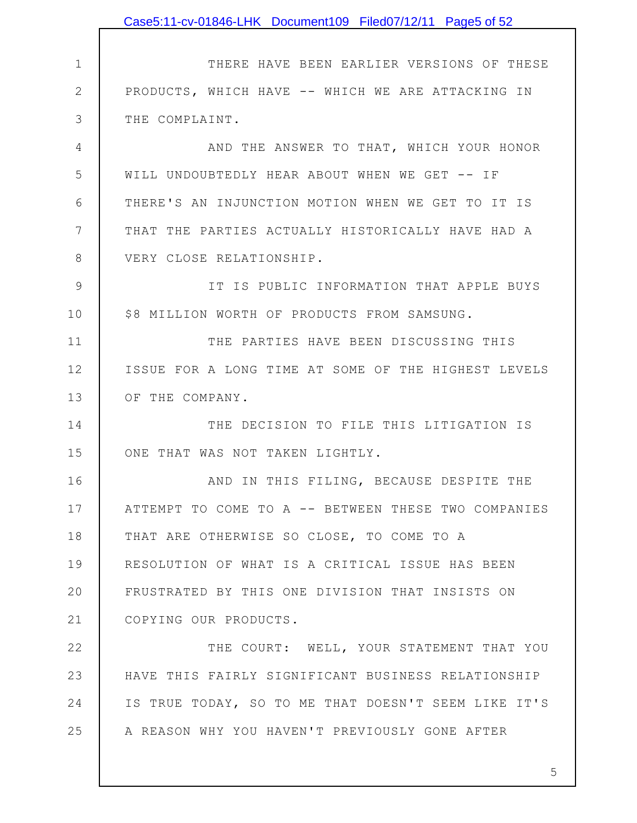1 2 3 4 5 6 7 8 9 10 11 12 13 14 15 16 17 18 19 20 21 22 23 24 25 THERE HAVE BEEN EARLIER VERSIONS OF THESE PRODUCTS, WHICH HAVE -- WHICH WE ARE ATTACKING IN THE COMPLAINT. AND THE ANSWER TO THAT, WHICH YOUR HONOR WILL UNDOUBTEDLY HEAR ABOUT WHEN WE GET -- IF THERE'S AN INJUNCTION MOTION WHEN WE GET TO IT IS THAT THE PARTIES ACTUALLY HISTORICALLY HAVE HAD A VERY CLOSE RELATIONSHIP. IT IS PUBLIC INFORMATION THAT APPLE BUYS \$8 MILLION WORTH OF PRODUCTS FROM SAMSUNG. THE PARTIES HAVE BEEN DISCUSSING THIS ISSUE FOR A LONG TIME AT SOME OF THE HIGHEST LEVELS OF THE COMPANY. THE DECISION TO FILE THIS LITIGATION IS ONE THAT WAS NOT TAKEN LIGHTLY. AND IN THIS FILING, BECAUSE DESPITE THE ATTEMPT TO COME TO A -- BETWEEN THESE TWO COMPANIES THAT ARE OTHERWISE SO CLOSE, TO COME TO A RESOLUTION OF WHAT IS A CRITICAL ISSUE HAS BEEN FRUSTRATED BY THIS ONE DIVISION THAT INSISTS ON COPYING OUR PRODUCTS. THE COURT: WELL, YOUR STATEMENT THAT YOU HAVE THIS FAIRLY SIGNIFICANT BUSINESS RELATIONSHIP IS TRUE TODAY, SO TO ME THAT DOESN'T SEEM LIKE IT'S A REASON WHY YOU HAVEN'T PREVIOUSLY GONE AFTER Case5:11-cv-01846-LHK Document109 Filed07/12/11 Page5 of 52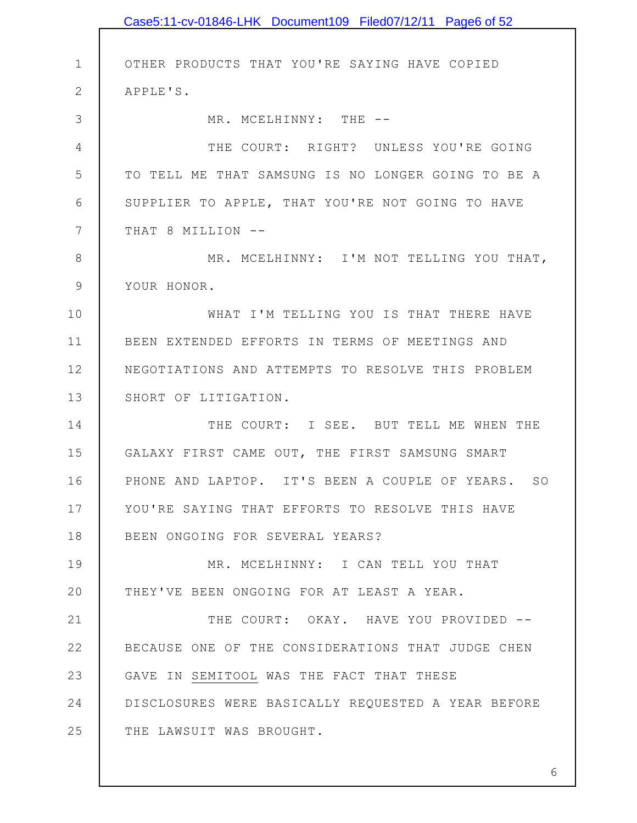|               | Case5:11-cv-01846-LHK Document109 Filed07/12/11 Page6 of 52 |
|---------------|-------------------------------------------------------------|
|               |                                                             |
| $\mathbf 1$   | OTHER PRODUCTS THAT YOU'RE SAYING HAVE COPIED               |
| $\mathbf{2}$  | APPLE'S.                                                    |
| 3             | MR. MCELHINNY: THE --                                       |
| 4             | THE COURT: RIGHT? UNLESS YOU'RE GOING                       |
| 5             | TO TELL ME THAT SAMSUNG IS NO LONGER GOING TO BE A          |
| 6             | SUPPLIER TO APPLE, THAT YOU'RE NOT GOING TO HAVE            |
| 7             | THAT 8 MILLION --                                           |
| $8\,$         | MR. MCELHINNY: I'M NOT TELLING YOU THAT,                    |
| $\mathcal{G}$ | YOUR HONOR.                                                 |
| 10            | WHAT I'M TELLING YOU IS THAT THERE HAVE                     |
| 11            | BEEN EXTENDED EFFORTS IN TERMS OF MEETINGS AND              |
| 12            | NEGOTIATIONS AND ATTEMPTS TO RESOLVE THIS PROBLEM           |
| 13            | SHORT OF LITIGATION.                                        |
| 14            | THE COURT: I SEE. BUT TELL ME WHEN THE                      |
| 15            | GALAXY FIRST CAME OUT, THE FIRST SAMSUNG SMART              |
| 16            | PHONE AND LAPTOP. IT'S BEEN A COUPLE OF YEARS. SO           |
| 17            | YOU'RE SAYING THAT EFFORTS TO RESOLVE THIS HAVE             |
| 18            | BEEN ONGOING FOR SEVERAL YEARS?                             |
| 19            | MR. MCELHINNY: I CAN TELL YOU THAT                          |
| 20            | THEY'VE BEEN ONGOING FOR AT LEAST A YEAR.                   |
| 21            | THE COURT: OKAY. HAVE YOU PROVIDED --                       |
| 22            | BECAUSE ONE OF THE CONSIDERATIONS THAT JUDGE CHEN           |
| 23            | GAVE IN SEMITOOL WAS THE FACT THAT THESE                    |
| 24            | DISCLOSURES WERE BASICALLY REQUESTED A YEAR BEFORE          |
| 25            | THE LAWSUIT WAS BROUGHT.                                    |
|               |                                                             |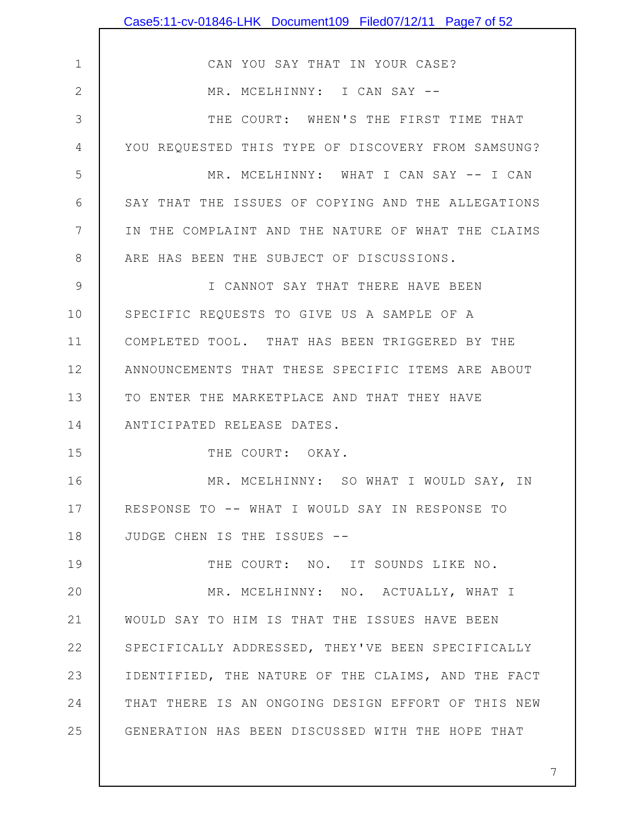|              | Case5:11-cv-01846-LHK Document109 Filed07/12/11 Page7 of 52 |
|--------------|-------------------------------------------------------------|
|              |                                                             |
| $\mathbf 1$  | CAN YOU SAY THAT IN YOUR CASE?                              |
| $\mathbf{2}$ | MR. MCELHINNY: I CAN SAY --                                 |
| 3            | THE COURT: WHEN'S THE FIRST TIME THAT                       |
| 4            | YOU REQUESTED THIS TYPE OF DISCOVERY FROM SAMSUNG?          |
| 5            | MR. MCELHINNY: WHAT I CAN SAY -- I CAN                      |
| 6            | SAY THAT THE ISSUES OF COPYING AND THE ALLEGATIONS          |
| 7            | IN THE COMPLAINT AND THE NATURE OF WHAT THE CLAIMS          |
| 8            | ARE HAS BEEN THE SUBJECT OF DISCUSSIONS.                    |
| 9            | I CANNOT SAY THAT THERE HAVE BEEN                           |
| 10           | SPECIFIC REQUESTS TO GIVE US A SAMPLE OF A                  |
| 11           | COMPLETED TOOL. THAT HAS BEEN TRIGGERED BY THE              |
| 12           | ANNOUNCEMENTS THAT THESE SPECIFIC ITEMS ARE ABOUT           |
| 13           | TO ENTER THE MARKETPLACE AND THAT THEY HAVE                 |
| 14           | ANTICIPATED RELEASE DATES.                                  |
| 15           | THE COURT: OKAY.                                            |
| 16           | MR. MCELHINNY: SO WHAT I WOULD SAY, IN                      |
| 17           | RESPONSE TO -- WHAT I WOULD SAY IN RESPONSE TO              |
| 18           | JUDGE CHEN IS THE ISSUES --                                 |
| 19           | THE COURT: NO. IT SOUNDS LIKE NO.                           |
| 20           | MR. MCELHINNY: NO. ACTUALLY, WHAT I                         |
| 21           | WOULD SAY TO HIM IS THAT THE ISSUES HAVE BEEN               |
| 22           | SPECIFICALLY ADDRESSED, THEY'VE BEEN SPECIFICALLY           |
| 23           | IDENTIFIED, THE NATURE OF THE CLAIMS, AND THE FACT          |
| 24           | THAT THERE IS AN ONGOING DESIGN EFFORT OF THIS NEW          |
| 25           | GENERATION HAS BEEN DISCUSSED WITH THE HOPE THAT            |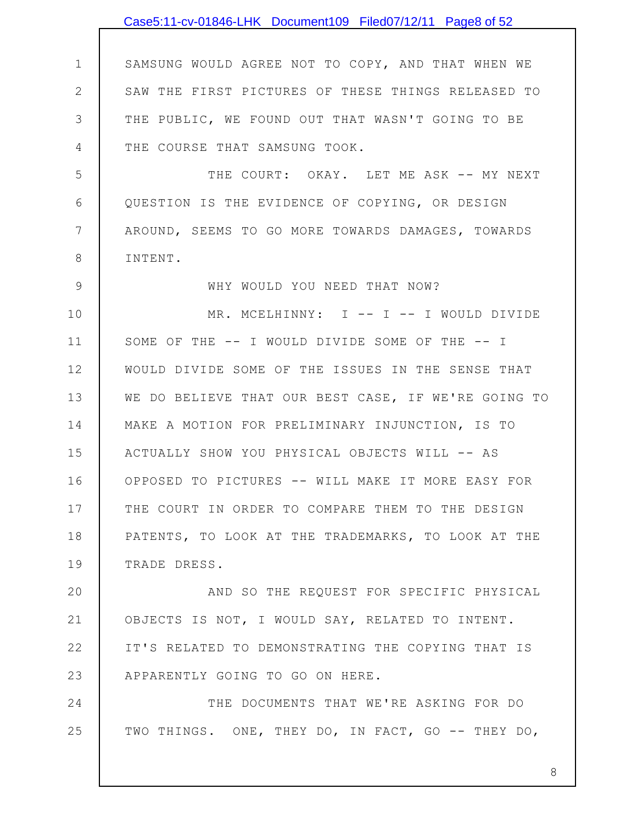1 2 3 4 5 6 7 8 9 10 11 12 13 14 15 16 17 18 19 20 21 22 23 24 25 SAMSUNG WOULD AGREE NOT TO COPY, AND THAT WHEN WE SAW THE FIRST PICTURES OF THESE THINGS RELEASED TO THE PUBLIC, WE FOUND OUT THAT WASN'T GOING TO BE THE COURSE THAT SAMSUNG TOOK. THE COURT: OKAY. LET ME ASK -- MY NEXT QUESTION IS THE EVIDENCE OF COPYING, OR DESIGN AROUND, SEEMS TO GO MORE TOWARDS DAMAGES, TOWARDS INTENT. WHY WOULD YOU NEED THAT NOW? MR. MCELHINNY: I -- I -- I WOULD DIVIDE SOME OF THE -- I WOULD DIVIDE SOME OF THE -- I WOULD DIVIDE SOME OF THE ISSUES IN THE SENSE THAT WE DO BELIEVE THAT OUR BEST CASE, IF WE'RE GOING TO MAKE A MOTION FOR PRELIMINARY INJUNCTION, IS TO ACTUALLY SHOW YOU PHYSICAL OBJECTS WILL -- AS OPPOSED TO PICTURES -- WILL MAKE IT MORE EASY FOR THE COURT IN ORDER TO COMPARE THEM TO THE DESIGN PATENTS, TO LOOK AT THE TRADEMARKS, TO LOOK AT THE TRADE DRESS. AND SO THE REQUEST FOR SPECIFIC PHYSICAL OBJECTS IS NOT, I WOULD SAY, RELATED TO INTENT. IT'S RELATED TO DEMONSTRATING THE COPYING THAT IS APPARENTLY GOING TO GO ON HERE. THE DOCUMENTS THAT WE'RE ASKING FOR DO TWO THINGS. ONE, THEY DO, IN FACT, GO -- THEY DO, Case5:11-cv-01846-LHK Document109 Filed07/12/11 Page8 of 52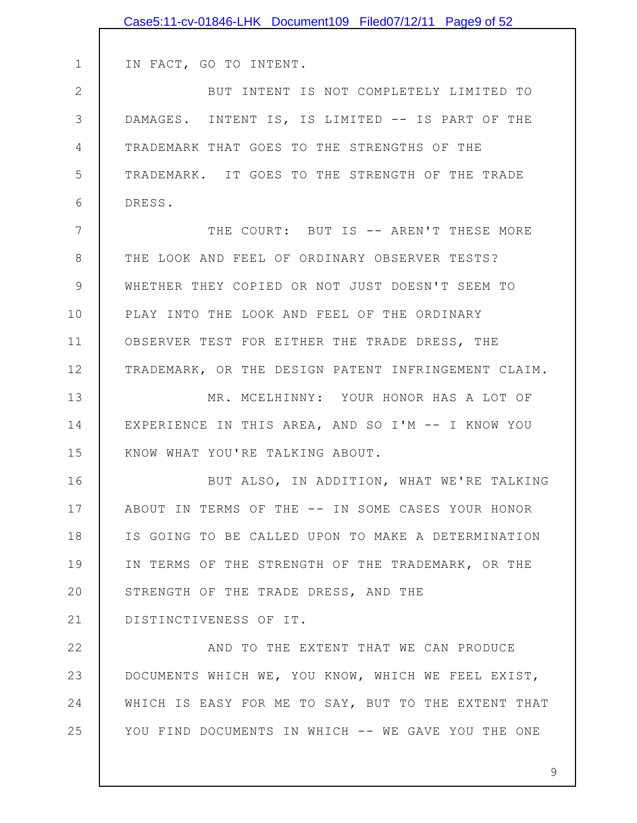|              | Case5:11-cv-01846-LHK Document109 Filed07/12/11 Page9 of 52 |
|--------------|-------------------------------------------------------------|
|              |                                                             |
| $\mathbf 1$  | IN FACT, GO TO INTENT.                                      |
| $\mathbf{2}$ | BUT INTENT IS NOT COMPLETELY LIMITED TO                     |
| 3            | DAMAGES. INTENT IS, IS LIMITED -- IS PART OF THE            |
| 4            | TRADEMARK THAT GOES TO THE STRENGTHS OF THE                 |
| 5            | TRADEMARK. IT GOES TO THE STRENGTH OF THE TRADE             |
| 6            | DRESS.                                                      |
| 7            | THE COURT: BUT IS -- AREN'T THESE MORE                      |
| 8            | THE LOOK AND FEEL OF ORDINARY OBSERVER TESTS?               |
| $\mathsf 9$  | WHETHER THEY COPIED OR NOT JUST DOESN'T SEEM TO             |
| 10           | PLAY INTO THE LOOK AND FEEL OF THE ORDINARY                 |
| 11           | OBSERVER TEST FOR EITHER THE TRADE DRESS, THE               |
| 12           | TRADEMARK, OR THE DESIGN PATENT INFRINGEMENT CLAIM.         |
| 13           | MR. MCELHINNY: YOUR HONOR HAS A LOT OF                      |
| 14           | EXPERIENCE IN THIS AREA, AND SO I'M -- I KNOW YOU           |
| 15           | KNOW WHAT YOU'RE TALKING ABOUT.                             |
| 16           | BUT ALSO, IN ADDITION, WHAT WE'RE TALKING                   |
| 17           | ABOUT IN TERMS OF THE -- IN SOME CASES YOUR HONOR           |
| 18           | IS GOING TO BE CALLED UPON TO MAKE A DETERMINATION          |
| 19           | IN TERMS OF THE STRENGTH OF THE TRADEMARK, OR THE           |
| 20           | STRENGTH OF THE TRADE DRESS, AND THE                        |
| 21           | DISTINCTIVENESS OF IT.                                      |
| 22           | AND TO THE EXTENT THAT WE CAN PRODUCE                       |
| 23           | DOCUMENTS WHICH WE, YOU KNOW, WHICH WE FEEL EXIST,          |
| 24           | WHICH IS EASY FOR ME TO SAY, BUT TO THE EXTENT THAT         |
| 25           | YOU FIND DOCUMENTS IN WHICH -- WE GAVE YOU THE ONE          |
|              |                                                             |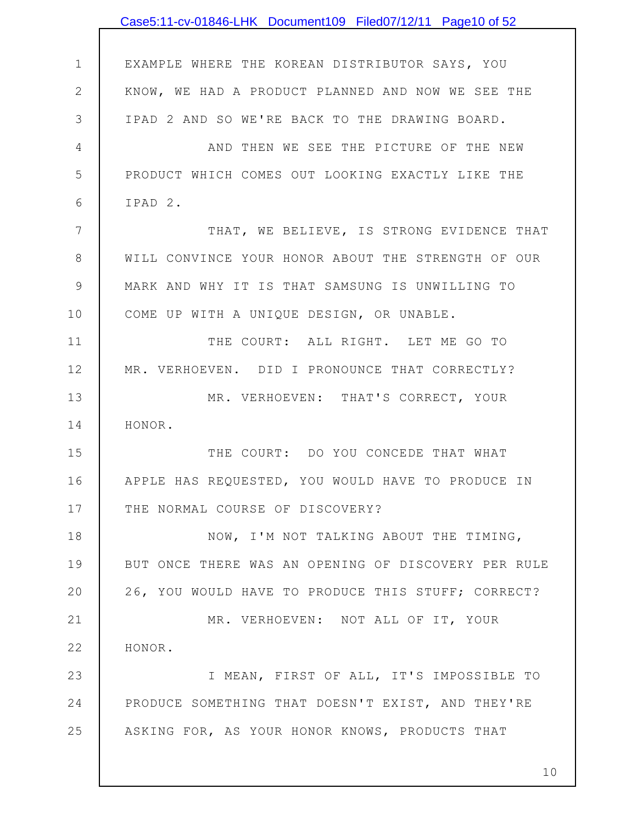|                | Case5:11-cv-01846-LHK Document109 Filed07/12/11 Page10 of 52 |
|----------------|--------------------------------------------------------------|
|                |                                                              |
| $\mathbf 1$    | EXAMPLE WHERE THE KOREAN DISTRIBUTOR SAYS, YOU               |
| $\mathbf{2}$   | KNOW, WE HAD A PRODUCT PLANNED AND NOW WE SEE THE            |
| $\mathfrak{Z}$ | IPAD 2 AND SO WE'RE BACK TO THE DRAWING BOARD.               |
| 4              | AND THEN WE SEE THE PICTURE OF THE NEW                       |
| 5              | PRODUCT WHICH COMES OUT LOOKING EXACTLY LIKE THE             |
| 6              | IPAD 2.                                                      |
| 7              | THAT, WE BELIEVE, IS STRONG EVIDENCE THAT                    |
| $8\,$          | WILL CONVINCE YOUR HONOR ABOUT THE STRENGTH OF OUR           |
| $\mathsf 9$    | MARK AND WHY IT IS THAT SAMSUNG IS UNWILLING TO              |
| 10             | COME UP WITH A UNIQUE DESIGN, OR UNABLE.                     |
| 11             | THE COURT: ALL RIGHT. LET ME GO TO                           |
| 12             | MR. VERHOEVEN. DID I PRONOUNCE THAT CORRECTLY?               |
| 13             | MR. VERHOEVEN: THAT'S CORRECT, YOUR                          |
| 14             | HONOR.                                                       |
| 15             | THE COURT: DO YOU CONCEDE THAT WHAT                          |
| 16             | APPLE HAS REQUESTED, YOU WOULD HAVE TO PRODUCE IN            |
| 17             | THE NORMAL COURSE OF DISCOVERY?                              |
| 18             | NOW, I'M NOT TALKING ABOUT THE TIMING,                       |
| 19             | BUT ONCE THERE WAS AN OPENING OF DISCOVERY PER RULE          |
| 20             | 26, YOU WOULD HAVE TO PRODUCE THIS STUFF; CORRECT?           |
| 21             | MR. VERHOEVEN: NOT ALL OF IT, YOUR                           |
| 22             | HONOR.                                                       |
| 23             | I MEAN, FIRST OF ALL, IT'S IMPOSSIBLE TO                     |
| 24             | PRODUCE SOMETHING THAT DOESN'T EXIST, AND THEY'RE            |
| 25             | ASKING FOR, AS YOUR HONOR KNOWS, PRODUCTS THAT               |
|                |                                                              |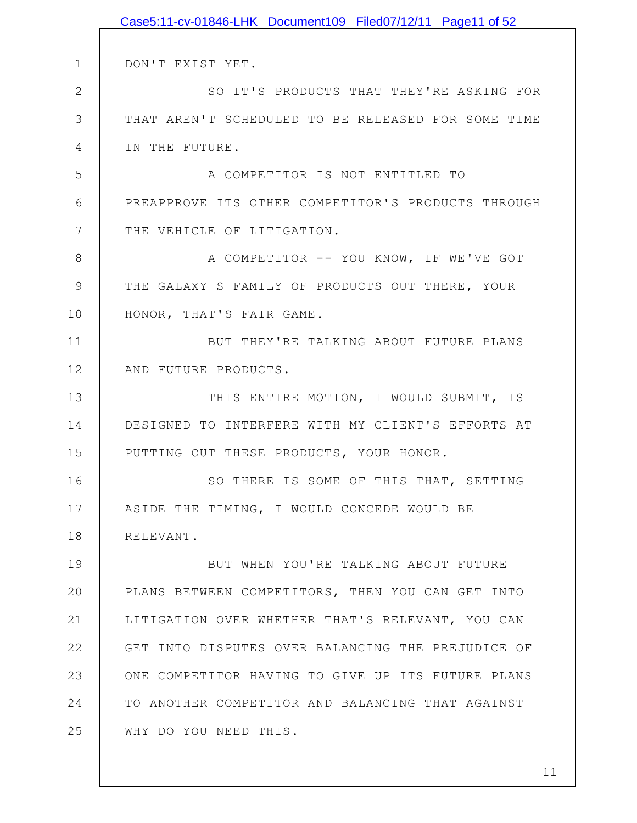|                | Case5:11-cv-01846-LHK Document109 Filed07/12/11 Page11 of 52 |
|----------------|--------------------------------------------------------------|
|                |                                                              |
| $\mathbf 1$    | DON'T EXIST YET.                                             |
| $\overline{2}$ | SO IT'S PRODUCTS THAT THEY'RE ASKING FOR                     |
| 3              | THAT AREN'T SCHEDULED TO BE RELEASED FOR SOME TIME           |
| 4              | IN THE FUTURE.                                               |
| 5              | A COMPETITOR IS NOT ENTITLED TO                              |
| 6              | PREAPPROVE ITS OTHER COMPETITOR'S PRODUCTS THROUGH           |
| 7              | THE VEHICLE OF LITIGATION.                                   |
| 8              | A COMPETITOR -- YOU KNOW, IF WE'VE GOT                       |
| 9              | THE GALAXY S FAMILY OF PRODUCTS OUT THERE, YOUR              |
| 10             | HONOR, THAT'S FAIR GAME.                                     |
| 11             | BUT THEY'RE TALKING ABOUT FUTURE PLANS                       |
| 12             | AND FUTURE PRODUCTS.                                         |
| 13             | THIS ENTIRE MOTION, I WOULD SUBMIT, IS                       |
| 14             | DESIGNED TO INTERFERE WITH MY CLIENT'S EFFORTS AT            |
| 15             | PUTTING OUT THESE PRODUCTS, YOUR HONOR.                      |
| 16             | SO THERE IS SOME OF THIS THAT, SETTING                       |
| 17             | ASIDE THE TIMING, I WOULD CONCEDE WOULD BE                   |
| 18             | RELEVANT.                                                    |
| 19             | BUT WHEN YOU'RE TALKING ABOUT FUTURE                         |
| 20             | PLANS BETWEEN COMPETITORS, THEN YOU CAN GET INTO             |
| 21             | LITIGATION OVER WHETHER THAT'S RELEVANT, YOU CAN             |
| 22             | GET INTO DISPUTES OVER BALANCING THE PREJUDICE OF            |
| 23             | ONE COMPETITOR HAVING TO GIVE UP ITS FUTURE PLANS            |
| 24             | TO ANOTHER COMPETITOR AND BALANCING THAT AGAINST             |
| 25             | WHY DO YOU NEED THIS.                                        |
|                |                                                              |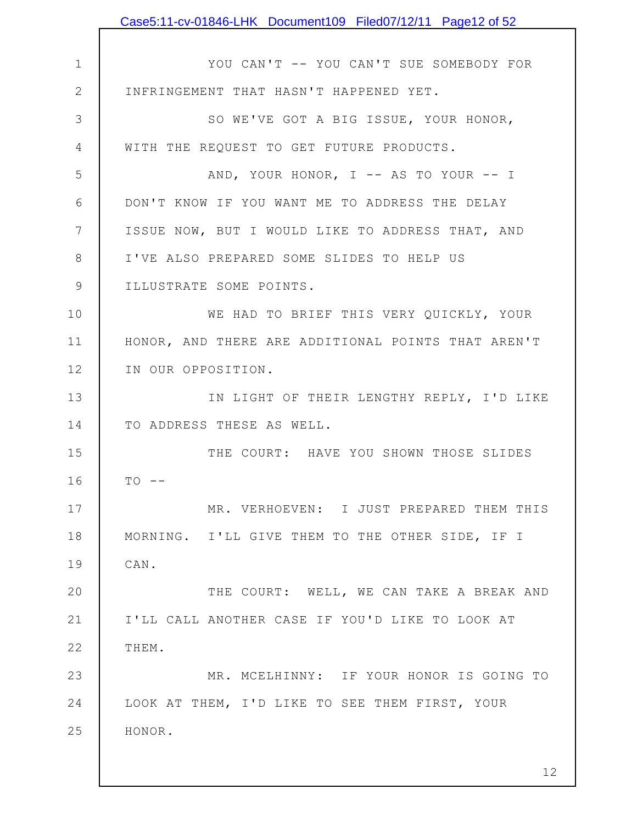|                 | Case5:11-cv-01846-LHK Document109 Filed07/12/11 Page12 of 52 |
|-----------------|--------------------------------------------------------------|
|                 |                                                              |
| $\mathbf 1$     | YOU CAN'T -- YOU CAN'T SUE SOMEBODY FOR                      |
| $\mathbf{2}$    | INFRINGEMENT THAT HASN'T HAPPENED YET.                       |
| 3               | SO WE'VE GOT A BIG ISSUE, YOUR HONOR,                        |
| 4               | WITH THE REQUEST TO GET FUTURE PRODUCTS.                     |
| 5               | AND, YOUR HONOR, I -- AS TO YOUR -- I                        |
| 6               | DON'T KNOW IF YOU WANT ME TO ADDRESS THE DELAY               |
| $7\phantom{.0}$ | ISSUE NOW, BUT I WOULD LIKE TO ADDRESS THAT, AND             |
| 8               | I'VE ALSO PREPARED SOME SLIDES TO HELP US                    |
| $\mathsf 9$     | ILLUSTRATE SOME POINTS.                                      |
| 10              | WE HAD TO BRIEF THIS VERY QUICKLY, YOUR                      |
| 11              | HONOR, AND THERE ARE ADDITIONAL POINTS THAT AREN'T           |
| 12              | IN OUR OPPOSITION.                                           |
| 13              | IN LIGHT OF THEIR LENGTHY REPLY, I'D LIKE                    |
| 14              | TO ADDRESS THESE AS WELL.                                    |
| 15              | THE COURT: HAVE YOU SHOWN THOSE SLIDES                       |
| 16              | $TO$ --                                                      |
| 17              | MR. VERHOEVEN: I JUST PREPARED THEM THIS                     |
| 18              | MORNING. I'LL GIVE THEM TO THE OTHER SIDE, IF I              |
| 19              | CAN.                                                         |
| 20              | THE COURT: WELL, WE CAN TAKE A BREAK AND                     |
| 21              | I'LL CALL ANOTHER CASE IF YOU'D LIKE TO LOOK AT              |
| 22              | THEM.                                                        |
| 23              | MR. MCELHINNY: IF YOUR HONOR IS GOING TO                     |
| 24              | LOOK AT THEM, I'D LIKE TO SEE THEM FIRST, YOUR               |
| 25              | HONOR.                                                       |
|                 |                                                              |
|                 | 12                                                           |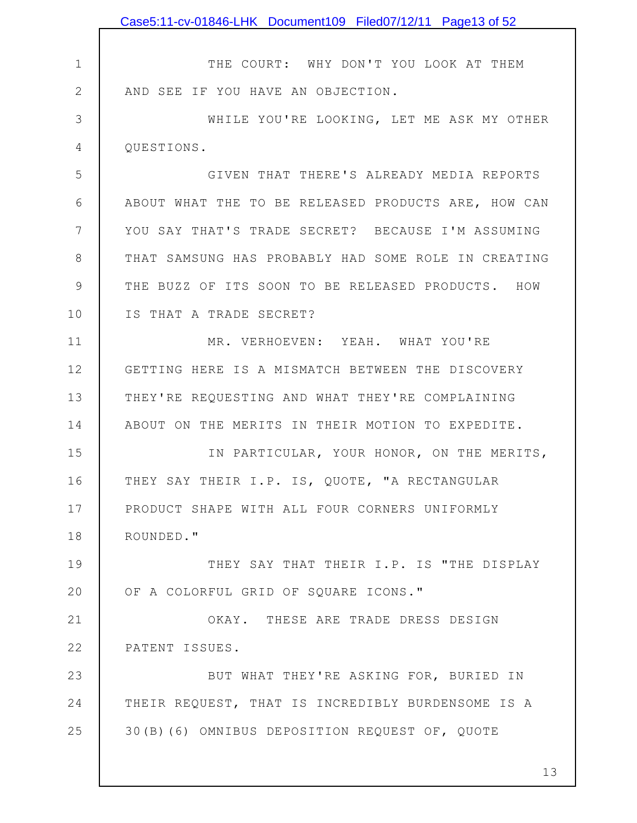|             | Case5:11-cv-01846-LHK Document109 Filed07/12/11 Page13 of 52 |
|-------------|--------------------------------------------------------------|
|             |                                                              |
| $\mathbf 1$ | THE COURT: WHY DON'T YOU LOOK AT THEM                        |
| $\mathbf 2$ | AND SEE IF YOU HAVE AN OBJECTION.                            |
| 3           | WHILE YOU'RE LOOKING, LET ME ASK MY OTHER                    |
| 4           | QUESTIONS.                                                   |
| 5           | GIVEN THAT THERE'S ALREADY MEDIA REPORTS                     |
| 6           | ABOUT WHAT THE TO BE RELEASED PRODUCTS ARE, HOW CAN          |
| 7           | YOU SAY THAT'S TRADE SECRET? BECAUSE I'M ASSUMING            |
| 8           | THAT SAMSUNG HAS PROBABLY HAD SOME ROLE IN CREATING          |
| 9           | THE BUZZ OF ITS SOON TO BE RELEASED PRODUCTS. HOW            |
| 10          | IS THAT A TRADE SECRET?                                      |
| 11          | MR. VERHOEVEN: YEAH. WHAT YOU'RE                             |
| 12          | GETTING HERE IS A MISMATCH BETWEEN THE DISCOVERY             |
| 13          | THEY'RE REQUESTING AND WHAT THEY'RE COMPLAINING              |
| 14          | ABOUT ON THE MERITS IN THEIR MOTION TO EXPEDITE.             |
| 15          | IN PARTICULAR, YOUR HONOR, ON THE MERITS,                    |
| 16          | THEY SAY THEIR I.P. IS, QUOTE, "A RECTANGULAR                |
| 17          | PRODUCT SHAPE WITH ALL FOUR CORNERS UNIFORMLY                |
| 18          | ROUNDED."                                                    |
| 19          | THEY SAY THAT THEIR I.P. IS "THE DISPLAY                     |
| 20          | OF A COLORFUL GRID OF SQUARE ICONS."                         |
| 21          | OKAY. THESE ARE TRADE DRESS DESIGN                           |
| 22          | PATENT ISSUES.                                               |
| 23          | BUT WHAT THEY'RE ASKING FOR, BURIED IN                       |
| 24          | THEIR REQUEST, THAT IS INCREDIBLY BURDENSOME IS A            |
| 25          | 30(B)(6) OMNIBUS DEPOSITION REQUEST OF, QUOTE                |
|             |                                                              |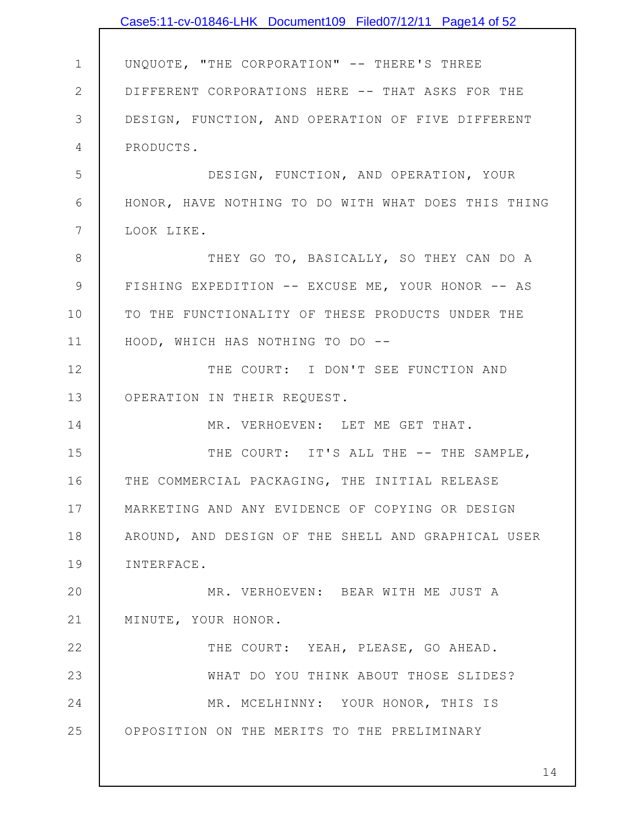|                | Case5:11-cv-01846-LHK Document109 Filed07/12/11 Page14 of 52 |
|----------------|--------------------------------------------------------------|
|                |                                                              |
| $\mathbf 1$    | UNQUOTE, "THE CORPORATION" -- THERE'S THREE                  |
| $\mathbf{2}$   | DIFFERENT CORPORATIONS HERE -- THAT ASKS FOR THE             |
| 3              | DESIGN, FUNCTION, AND OPERATION OF FIVE DIFFERENT            |
| $\overline{4}$ | PRODUCTS.                                                    |
| 5              | DESIGN, FUNCTION, AND OPERATION, YOUR                        |
| 6              | HONOR, HAVE NOTHING TO DO WITH WHAT DOES THIS THING          |
| 7              | LOOK LIKE.                                                   |
| 8              | THEY GO TO, BASICALLY, SO THEY CAN DO A                      |
| $\mathcal{G}$  | FISHING EXPEDITION -- EXCUSE ME, YOUR HONOR -- AS            |
| 10             | TO THE FUNCTIONALITY OF THESE PRODUCTS UNDER THE             |
| 11             | HOOD, WHICH HAS NOTHING TO DO --                             |
| 12             | THE COURT: I DON'T SEE FUNCTION AND                          |
| 13             | OPERATION IN THEIR REQUEST.                                  |
| 14             | MR. VERHOEVEN: LET ME GET THAT.                              |
| 15             | THE COURT: IT'S ALL THE -- THE SAMPLE,                       |
| 16             | THE COMMERCIAL PACKAGING, THE INITIAL RELEASE                |
| 17             | MARKETING AND ANY EVIDENCE OF COPYING OR DESIGN              |
| 18             | AROUND, AND DESIGN OF THE SHELL AND GRAPHICAL USER           |
| 19             | INTERFACE.                                                   |
| 20             | MR. VERHOEVEN: BEAR WITH ME JUST A                           |
| 21             | MINUTE, YOUR HONOR.                                          |
| 22             | THE COURT: YEAH, PLEASE, GO AHEAD.                           |
| 23             | WHAT DO YOU THINK ABOUT THOSE SLIDES?                        |
| 24             | MR. MCELHINNY: YOUR HONOR, THIS IS                           |
| 25             | OPPOSITION ON THE MERITS TO THE PRELIMINARY                  |
|                |                                                              |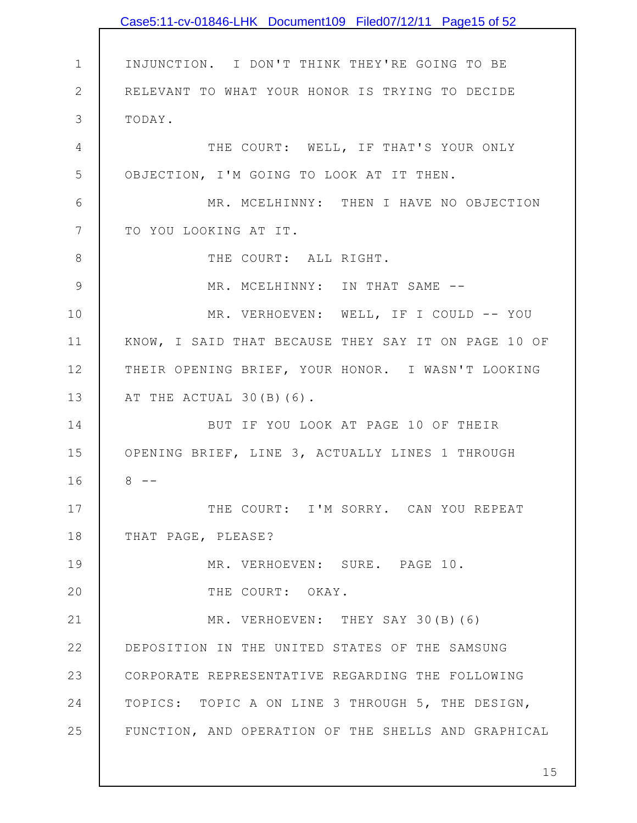|                 | Case5:11-cv-01846-LHK Document109 Filed07/12/11 Page15 of 52 |
|-----------------|--------------------------------------------------------------|
|                 |                                                              |
| $\mathbf 1$     | INJUNCTION. I DON'T THINK THEY'RE GOING TO BE                |
| $\mathbf{2}$    | RELEVANT TO WHAT YOUR HONOR IS TRYING TO DECIDE              |
| 3               | TODAY.                                                       |
| 4               | THE COURT: WELL, IF THAT'S YOUR ONLY                         |
| 5               | OBJECTION, I'M GOING TO LOOK AT IT THEN.                     |
| 6               | MR. MCELHINNY: THEN I HAVE NO OBJECTION                      |
| $7\phantom{.0}$ | TO YOU LOOKING AT IT.                                        |
| $\,8\,$         | THE COURT: ALL RIGHT.                                        |
| $\mathcal{G}$   | MR. MCELHINNY: IN THAT SAME --                               |
| 10              | MR. VERHOEVEN: WELL, IF I COULD -- YOU                       |
| 11              | KNOW, I SAID THAT BECAUSE THEY SAY IT ON PAGE 10 OF          |
| 12              | THEIR OPENING BRIEF, YOUR HONOR. I WASN'T LOOKING            |
| 13              | AT THE ACTUAL 30(B)(6).                                      |
| 14              | BUT IF YOU LOOK AT PAGE 10 OF THEIR                          |
| 15              | OPENING BRIEF, LINE 3, ACTUALLY LINES 1 THROUGH              |
| 16              | $8 - -$                                                      |
| 17              | THE COURT: I'M SORRY. CAN YOU REPEAT                         |
| 18              | THAT PAGE, PLEASE?                                           |
| 19              | MR. VERHOEVEN: SURE. PAGE 10.                                |
| 20              | THE COURT: OKAY.                                             |
| 21              | MR. VERHOEVEN: THEY SAY 30(B)(6)                             |
| 22              | DEPOSITION IN THE UNITED STATES OF THE SAMSUNG               |
| 23              | CORPORATE REPRESENTATIVE REGARDING THE FOLLOWING             |
| 24              | TOPICS: TOPIC A ON LINE 3 THROUGH 5, THE DESIGN,             |
| 25              | FUNCTION, AND OPERATION OF THE SHELLS AND GRAPHICAL          |
|                 |                                                              |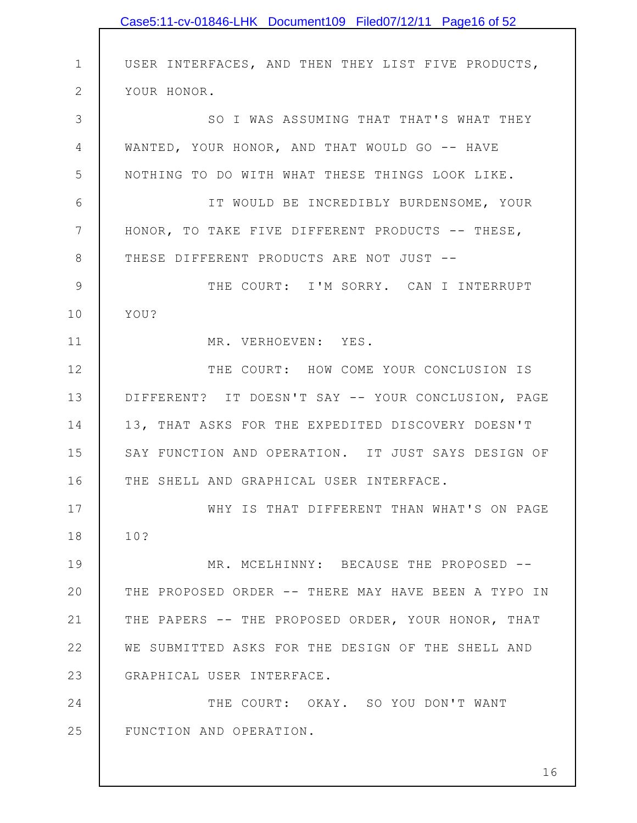|              | Case5:11-cv-01846-LHK Document109 Filed07/12/11 Page16 of 52 |
|--------------|--------------------------------------------------------------|
|              |                                                              |
| $\mathbf 1$  | USER INTERFACES, AND THEN THEY LIST FIVE PRODUCTS,           |
| $\mathbf{2}$ | YOUR HONOR.                                                  |
| 3            | SO I WAS ASSUMING THAT THAT'S WHAT THEY                      |
| 4            | WANTED, YOUR HONOR, AND THAT WOULD GO -- HAVE                |
| 5            | NOTHING TO DO WITH WHAT THESE THINGS LOOK LIKE.              |
| 6            | IT WOULD BE INCREDIBLY BURDENSOME, YOUR                      |
| 7            | HONOR, TO TAKE FIVE DIFFERENT PRODUCTS -- THESE,             |
| 8            | THESE DIFFERENT PRODUCTS ARE NOT JUST --                     |
| 9            | THE COURT: I'M SORRY. CAN I INTERRUPT                        |
| 10           | YOU?                                                         |
| 11           | MR. VERHOEVEN: YES.                                          |
| 12           | THE COURT: HOW COME YOUR CONCLUSION IS                       |
| 13           | DIFFERENT? IT DOESN'T SAY -- YOUR CONCLUSION, PAGE           |
| 14           | 13, THAT ASKS FOR THE EXPEDITED DISCOVERY DOESN'T            |
| 15           | SAY FUNCTION AND OPERATION. IT JUST SAYS DESIGN OF           |
| 16           | THE SHELL AND GRAPHICAL USER INTERFACE.                      |
| 17           | WHY IS THAT DIFFERENT THAN WHAT'S ON PAGE                    |
| 18           | 10?                                                          |
| 19           | MR. MCELHINNY: BECAUSE THE PROPOSED --                       |
| 20           | THE PROPOSED ORDER -- THERE MAY HAVE BEEN A TYPO IN          |
| 21           | THE PAPERS -- THE PROPOSED ORDER, YOUR HONOR, THAT           |
| 22           | WE SUBMITTED ASKS FOR THE DESIGN OF THE SHELL AND            |
| 23           | GRAPHICAL USER INTERFACE.                                    |
| 24           | THE COURT: OKAY. SO YOU DON'T WANT                           |
| 25           | FUNCTION AND OPERATION.                                      |
|              |                                                              |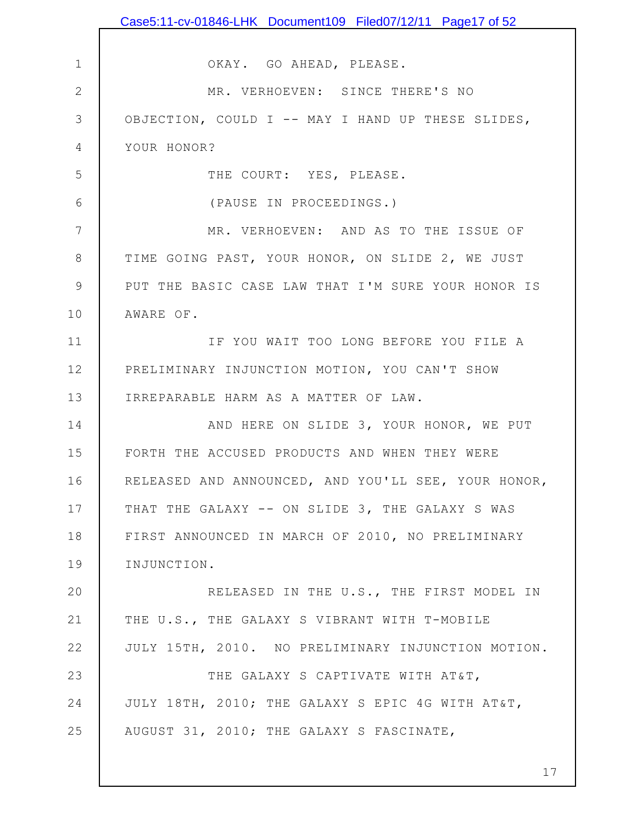|              | Case5:11-cv-01846-LHK Document109 Filed07/12/11 Page17 of 52 |
|--------------|--------------------------------------------------------------|
|              |                                                              |
| $\mathbf 1$  | OKAY. GO AHEAD, PLEASE.                                      |
| $\mathbf{2}$ | MR. VERHOEVEN: SINCE THERE'S NO                              |
| 3            | OBJECTION, COULD I -- MAY I HAND UP THESE SLIDES,            |
| 4            | YOUR HONOR?                                                  |
| 5            | THE COURT: YES, PLEASE.                                      |
| 6            | (PAUSE IN PROCEEDINGS.)                                      |
| 7            | MR. VERHOEVEN: AND AS TO THE ISSUE OF                        |
| 8            | TIME GOING PAST, YOUR HONOR, ON SLIDE 2, WE JUST             |
| $\mathsf 9$  | PUT THE BASIC CASE LAW THAT I'M SURE YOUR HONOR IS           |
| 10           | AWARE OF.                                                    |
| 11           | IF YOU WAIT TOO LONG BEFORE YOU FILE A                       |
| 12           | PRELIMINARY INJUNCTION MOTION, YOU CAN'T SHOW                |
| 13           | IRREPARABLE HARM AS A MATTER OF LAW.                         |
| 14           | AND HERE ON SLIDE 3, YOUR HONOR, WE PUT                      |
| 15           | FORTH THE ACCUSED PRODUCTS AND WHEN THEY WERE                |
| 16           | RELEASED AND ANNOUNCED, AND YOU'LL SEE, YOUR HONOR,          |
| 17           | THAT THE GALAXY -- ON SLIDE 3, THE GALAXY S WAS              |
| 18           | FIRST ANNOUNCED IN MARCH OF 2010, NO PRELIMINARY             |
| 19           | INJUNCTION.                                                  |
| 20           | RELEASED IN THE U.S., THE FIRST MODEL IN                     |
| 21           | THE U.S., THE GALAXY S VIBRANT WITH T-MOBILE                 |
| 22           | JULY 15TH, 2010. NO PRELIMINARY INJUNCTION MOTION.           |
| 23           | THE GALAXY S CAPTIVATE WITH AT&T,                            |
| 24           | JULY 18TH, 2010; THE GALAXY S EPIC 4G WITH AT&T,             |
| 25           | AUGUST 31, 2010; THE GALAXY S FASCINATE,                     |
|              |                                                              |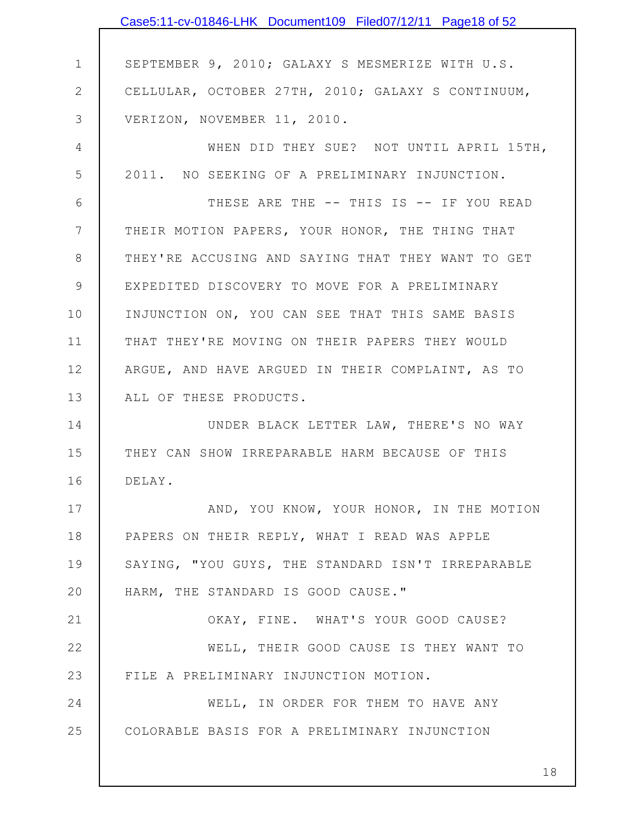|                | Case5:11-cv-01846-LHK Document109 Filed07/12/11 Page18 of 52 |
|----------------|--------------------------------------------------------------|
|                |                                                              |
| $\mathbf 1$    | SEPTEMBER 9, 2010; GALAXY S MESMERIZE WITH U.S.              |
| $\mathbf{2}$   | CELLULAR, OCTOBER 27TH, 2010; GALAXY S CONTINUUM,            |
| 3              | VERIZON, NOVEMBER 11, 2010.                                  |
| $\overline{4}$ | WHEN DID THEY SUE? NOT UNTIL APRIL 15TH,                     |
| 5              | 2011. NO SEEKING OF A PRELIMINARY INJUNCTION.                |
| 6              | THESE ARE THE -- THIS IS -- IF YOU READ                      |
| 7              | THEIR MOTION PAPERS, YOUR HONOR, THE THING THAT              |
| 8              | THEY'RE ACCUSING AND SAYING THAT THEY WANT TO GET            |
| 9              | EXPEDITED DISCOVERY TO MOVE FOR A PRELIMINARY                |
| 10             | INJUNCTION ON, YOU CAN SEE THAT THIS SAME BASIS              |
| 11             | THAT THEY'RE MOVING ON THEIR PAPERS THEY WOULD               |
| 12             | ARGUE, AND HAVE ARGUED IN THEIR COMPLAINT, AS TO             |
| 13             | ALL OF THESE PRODUCTS.                                       |
| 14             | UNDER BLACK LETTER LAW, THERE'S NO WAY                       |
| 15             | THEY CAN SHOW IRREPARABLE HARM BECAUSE OF THIS               |
| 16             | DELAY.                                                       |
| 17             | AND, YOU KNOW, YOUR HONOR, IN THE MOTION                     |
| 18             | PAPERS ON THEIR REPLY, WHAT I READ WAS APPLE                 |
| 19             | SAYING, "YOU GUYS, THE STANDARD ISN'T IRREPARABLE            |
| 20             | HARM, THE STANDARD IS GOOD CAUSE."                           |
| 21             | OKAY, FINE. WHAT'S YOUR GOOD CAUSE?                          |
| 22             | WELL, THEIR GOOD CAUSE IS THEY WANT TO                       |
| 23             | FILE A PRELIMINARY INJUNCTION MOTION.                        |
| 24             | WELL, IN ORDER FOR THEM TO HAVE ANY                          |
| 25             | COLORABLE BASIS FOR A PRELIMINARY INJUNCTION                 |
|                |                                                              |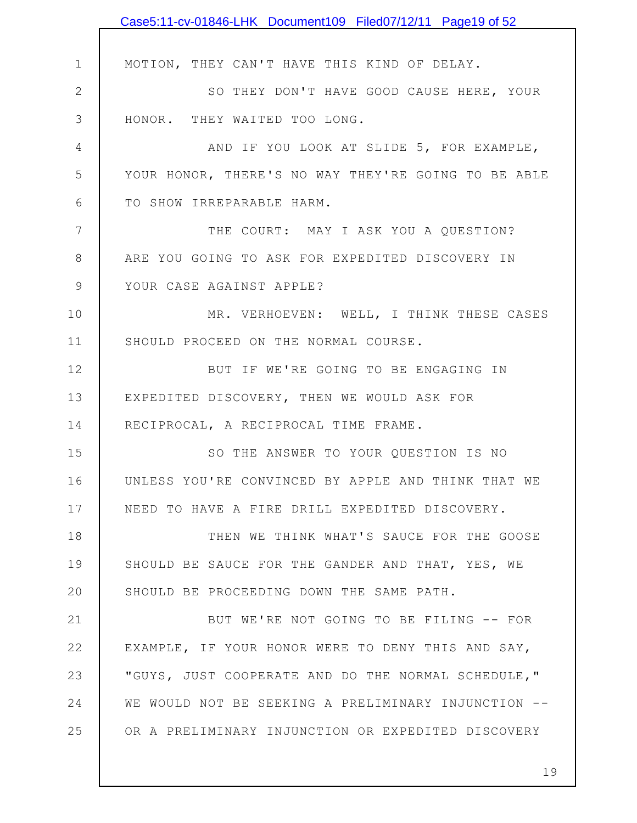|               | Case5:11-cv-01846-LHK Document109 Filed07/12/11 Page19 of 52 |
|---------------|--------------------------------------------------------------|
|               |                                                              |
| $\mathbf 1$   | MOTION, THEY CAN'T HAVE THIS KIND OF DELAY.                  |
| $\mathbf{2}$  | SO THEY DON'T HAVE GOOD CAUSE HERE, YOUR                     |
| 3             | HONOR. THEY WAITED TOO LONG.                                 |
| 4             | AND IF YOU LOOK AT SLIDE 5, FOR EXAMPLE,                     |
| 5             | YOUR HONOR, THERE'S NO WAY THEY'RE GOING TO BE ABLE          |
| 6             | TO SHOW IRREPARABLE HARM.                                    |
| 7             | THE COURT: MAY I ASK YOU A QUESTION?                         |
| 8             | ARE YOU GOING TO ASK FOR EXPEDITED DISCOVERY IN              |
| $\mathcal{G}$ | YOUR CASE AGAINST APPLE?                                     |
| 10            | MR. VERHOEVEN: WELL, I THINK THESE CASES                     |
| 11            | SHOULD PROCEED ON THE NORMAL COURSE.                         |
| 12            | BUT IF WE'RE GOING TO BE ENGAGING IN                         |
| 13            | EXPEDITED DISCOVERY, THEN WE WOULD ASK FOR                   |
| 14            | RECIPROCAL, A RECIPROCAL TIME FRAME.                         |
| 15            | SO THE ANSWER TO YOUR QUESTION IS NO                         |
| 16            | UNLESS YOU'RE CONVINCED BY APPLE AND THINK THAT WE           |
| 17            | NEED TO HAVE A FIRE DRILL EXPEDITED DISCOVERY.               |
| 18            | THEN WE THINK WHAT'S SAUCE FOR THE GOOSE                     |
| 19            | SHOULD BE SAUCE FOR THE GANDER AND THAT, YES, WE             |
| 20            | SHOULD BE PROCEEDING DOWN THE SAME PATH.                     |
| 21            | BUT WE'RE NOT GOING TO BE FILING -- FOR                      |
| 22            | EXAMPLE, IF YOUR HONOR WERE TO DENY THIS AND SAY,            |
| 23            | "GUYS, JUST COOPERATE AND DO THE NORMAL SCHEDULE,"           |
| 24            | WE WOULD NOT BE SEEKING A PRELIMINARY INJUNCTION --          |
| 25            | OR A PRELIMINARY INJUNCTION OR EXPEDITED DISCOVERY           |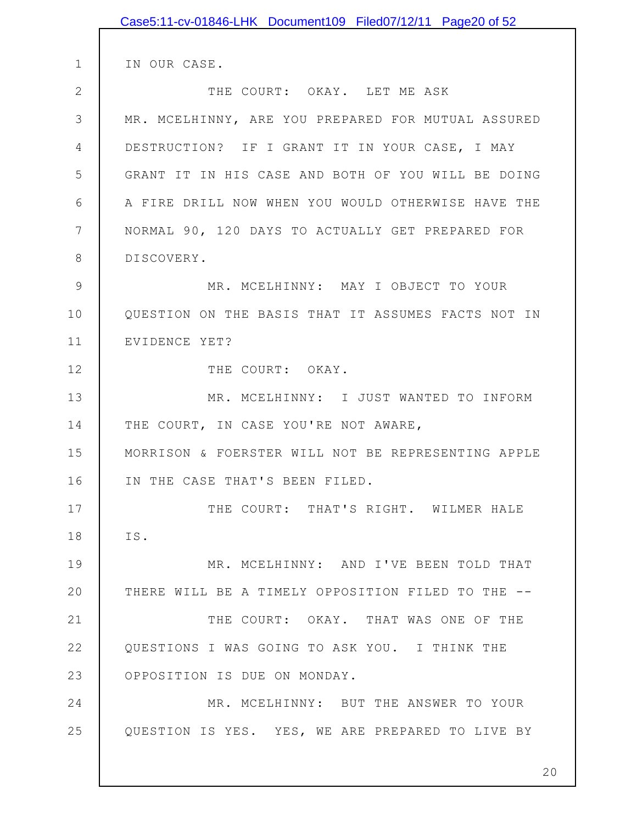|    | Case5:11-cv-01846-LHK Document109 Filed07/12/11 Page20 of 52 |
|----|--------------------------------------------------------------|
|    |                                                              |
| 1  | IN OUR CASE.                                                 |
| 2  | THE COURT: OKAY. LET ME ASK                                  |
| 3  | MR. MCELHINNY, ARE YOU PREPARED FOR MUTUAL ASSURED           |
| 4  | DESTRUCTION? IF I GRANT IT IN YOUR CASE, I MAY               |
| 5  | GRANT IT IN HIS CASE AND BOTH OF YOU WILL BE DOING           |
| 6  | A FIRE DRILL NOW WHEN YOU WOULD OTHERWISE HAVE THE           |
| 7  | NORMAL 90, 120 DAYS TO ACTUALLY GET PREPARED FOR             |
| 8  | DISCOVERY.                                                   |
| 9  | MR. MCELHINNY: MAY I OBJECT TO YOUR                          |
| 10 | QUESTION ON THE BASIS THAT IT ASSUMES FACTS NOT IN           |
| 11 | EVIDENCE YET?                                                |
| 12 | THE COURT: OKAY.                                             |
| 13 | MR. MCELHINNY: I JUST WANTED TO INFORM                       |
| 14 | THE COURT, IN CASE YOU'RE NOT AWARE,                         |
| 15 | MORRISON & FOERSTER WILL NOT BE REPRESENTING APPLE           |
| 16 | IN THE CASE THAT'S BEEN FILED.                               |
| 17 | THE COURT: THAT'S RIGHT. WILMER HALE                         |
| 18 | IS.                                                          |
| 19 | MR. MCELHINNY: AND I'VE BEEN TOLD THAT                       |
| 20 | THERE WILL BE A TIMELY OPPOSITION FILED TO THE --            |
| 21 | THE COURT: OKAY. THAT WAS ONE OF THE                         |
| 22 | QUESTIONS I WAS GOING TO ASK YOU. I THINK THE                |
| 23 | OPPOSITION IS DUE ON MONDAY.                                 |
| 24 | MR. MCELHINNY: BUT THE ANSWER TO YOUR                        |
| 25 | QUESTION IS YES. YES, WE ARE PREPARED TO LIVE BY             |
|    |                                                              |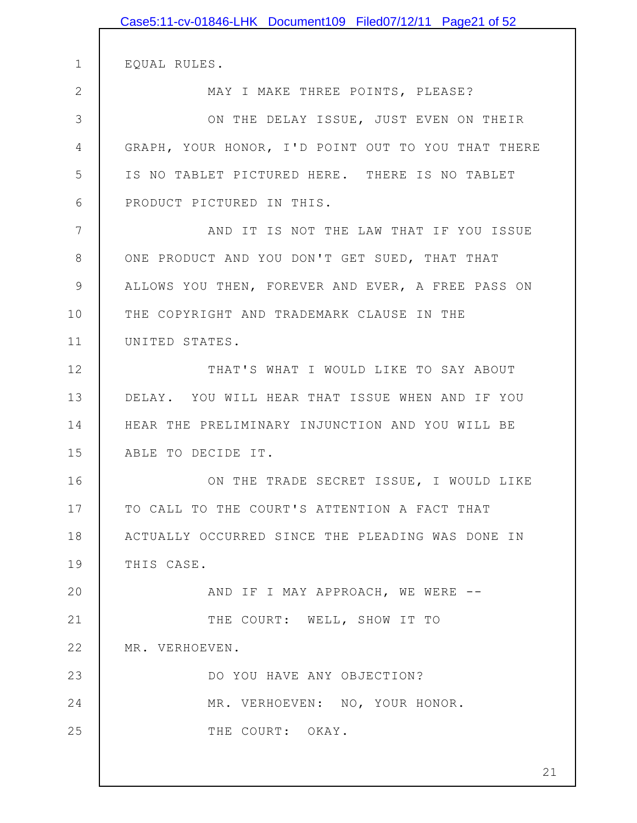|              | Case5:11-cv-01846-LHK Document109 Filed07/12/11 Page21 of 52 |
|--------------|--------------------------------------------------------------|
| $\mathbf 1$  | EQUAL RULES.                                                 |
| $\mathbf{2}$ | MAY I MAKE THREE POINTS, PLEASE?                             |
| 3            | ON THE DELAY ISSUE, JUST EVEN ON THEIR                       |
| 4            | GRAPH, YOUR HONOR, I'D POINT OUT TO YOU THAT THERE           |
| 5            | IS NO TABLET PICTURED HERE. THERE IS NO TABLET               |
| 6            | PRODUCT PICTURED IN THIS.                                    |
| 7            | AND IT IS NOT THE LAW THAT IF YOU ISSUE                      |
| 8            | ONE PRODUCT AND YOU DON'T GET SUED, THAT THAT                |
| $\mathsf 9$  | ALLOWS YOU THEN, FOREVER AND EVER, A FREE PASS ON            |
| 10           | THE COPYRIGHT AND TRADEMARK CLAUSE IN THE                    |
| 11           | UNITED STATES.                                               |
| 12           | THAT'S WHAT I WOULD LIKE TO SAY ABOUT                        |
| 13           | DELAY. YOU WILL HEAR THAT ISSUE WHEN AND IF YOU              |
| 14           | HEAR THE PRELIMINARY INJUNCTION AND YOU WILL BE              |
| 15           | ABLE TO DECIDE IT.                                           |
| 16           | ON THE TRADE SECRET ISSUE, I WOULD LIKE                      |
| 17           | TO CALL TO THE COURT'S ATTENTION A FACT THAT                 |
| 18           | ACTUALLY OCCURRED SINCE THE PLEADING WAS DONE IN             |
| 19           | THIS CASE.                                                   |
| 20           | AND IF I MAY APPROACH, WE WERE --                            |
| 21           | THE COURT: WELL, SHOW IT TO                                  |
| 22           | MR. VERHOEVEN.                                               |
| 23           | DO YOU HAVE ANY OBJECTION?                                   |
| 24           | MR. VERHOEVEN: NO, YOUR HONOR.                               |
| 25           | THE COURT: OKAY.                                             |
|              | 21                                                           |
|              |                                                              |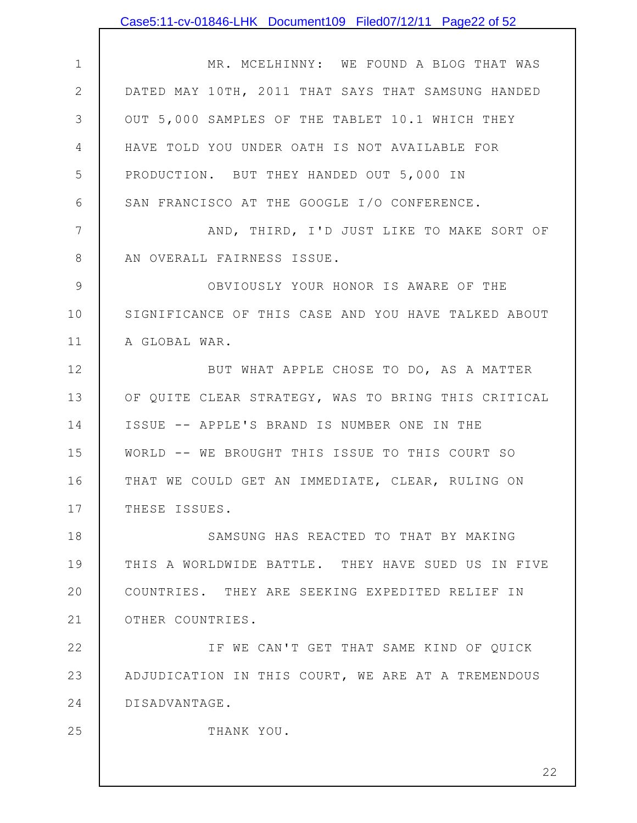|                | Case5:11-cv-01846-LHK Document109 Filed07/12/11 Page22 of 52 |
|----------------|--------------------------------------------------------------|
|                |                                                              |
| $\mathbf 1$    | MR. MCELHINNY: WE FOUND A BLOG THAT WAS                      |
| $\mathbf{2}$   | DATED MAY 10TH, 2011 THAT SAYS THAT SAMSUNG HANDED           |
| 3              | OUT 5,000 SAMPLES OF THE TABLET 10.1 WHICH THEY              |
| $\overline{4}$ | HAVE TOLD YOU UNDER OATH IS NOT AVAILABLE FOR                |
| 5              | PRODUCTION. BUT THEY HANDED OUT 5,000 IN                     |
| 6              | SAN FRANCISCO AT THE GOOGLE I/O CONFERENCE.                  |
| 7              | AND, THIRD, I'D JUST LIKE TO MAKE SORT OF                    |
| 8              | AN OVERALL FAIRNESS ISSUE.                                   |
| $\mathcal{G}$  | OBVIOUSLY YOUR HONOR IS AWARE OF THE                         |
| 10             | SIGNIFICANCE OF THIS CASE AND YOU HAVE TALKED ABOUT          |
| 11             | A GLOBAL WAR.                                                |
| 12             | BUT WHAT APPLE CHOSE TO DO, AS A MATTER                      |
| 13             | OF QUITE CLEAR STRATEGY, WAS TO BRING THIS CRITICAL          |
| 14             | ISSUE -- APPLE'S BRAND IS NUMBER ONE IN THE                  |
| 15             | WORLD -- WE BROUGHT THIS ISSUE TO THIS COURT SO              |
| 16             | THAT WE COULD GET AN IMMEDIATE, CLEAR, RULING ON             |
| 17             | THESE ISSUES.                                                |
| 18             | SAMSUNG HAS REACTED TO THAT BY MAKING                        |
| 19             | THIS A WORLDWIDE BATTLE. THEY HAVE SUED US IN FIVE           |
| 20             | COUNTRIES. THEY ARE SEEKING EXPEDITED RELIEF IN              |
| 21             | OTHER COUNTRIES.                                             |
| 22             | IF WE CAN'T GET THAT SAME KIND OF QUICK                      |
| 23             | ADJUDICATION IN THIS COURT, WE ARE AT A TREMENDOUS           |
| 24             | DISADVANTAGE.                                                |
| 25             | THANK YOU.                                                   |
|                |                                                              |
|                | 22                                                           |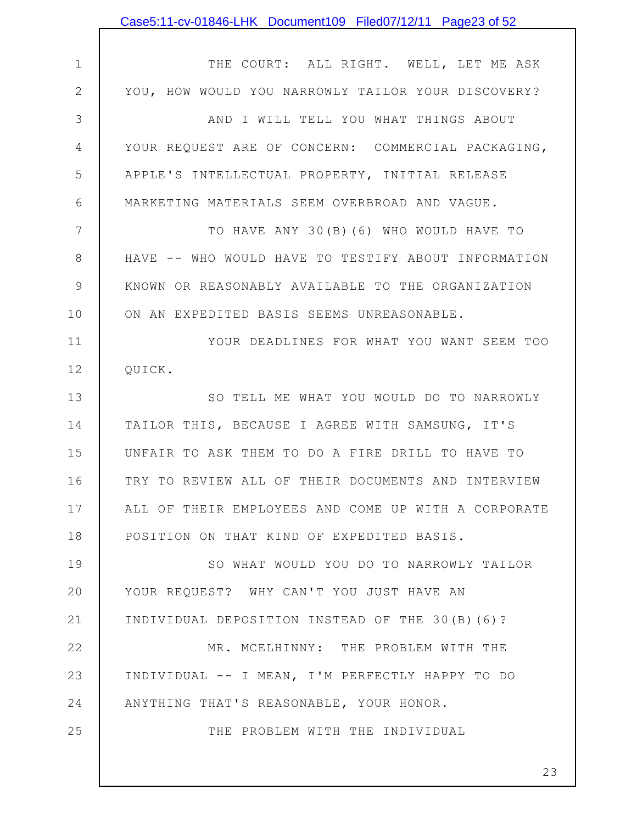|                | Case5:11-cv-01846-LHK Document109 Filed07/12/11 Page23 of 52 |
|----------------|--------------------------------------------------------------|
|                |                                                              |
| $\mathbf 1$    | THE COURT: ALL RIGHT. WELL, LET ME ASK                       |
| $\mathbf{2}$   | YOU, HOW WOULD YOU NARROWLY TAILOR YOUR DISCOVERY?           |
| 3              | AND I WILL TELL YOU WHAT THINGS ABOUT                        |
| $\overline{4}$ | YOUR REQUEST ARE OF CONCERN: COMMERCIAL PACKAGING,           |
| 5              | APPLE'S INTELLECTUAL PROPERTY, INITIAL RELEASE               |
| 6              | MARKETING MATERIALS SEEM OVERBROAD AND VAGUE.                |
| 7              | TO HAVE ANY 30 (B) (6) WHO WOULD HAVE TO                     |
| $\,8\,$        | HAVE -- WHO WOULD HAVE TO TESTIFY ABOUT INFORMATION          |
| $\mathsf 9$    | KNOWN OR REASONABLY AVAILABLE TO THE ORGANIZATION            |
| 10             | ON AN EXPEDITED BASIS SEEMS UNREASONABLE.                    |
| 11             | YOUR DEADLINES FOR WHAT YOU WANT SEEM TOO                    |
| 12             | QUICK.                                                       |
| 13             | SO TELL ME WHAT YOU WOULD DO TO NARROWLY                     |
| 14             | TAILOR THIS, BECAUSE I AGREE WITH SAMSUNG, IT'S              |
| 15             | UNFAIR TO ASK THEM TO DO A FIRE DRILL TO HAVE TO             |
| 16             | TRY TO REVIEW ALL OF THEIR DOCUMENTS AND INTERVIEW           |
| 17             | ALL OF THEIR EMPLOYEES AND COME UP WITH A CORPORATE          |
| 18             | POSITION ON THAT KIND OF EXPEDITED BASIS.                    |
| 19             | SO WHAT WOULD YOU DO TO NARROWLY TAILOR                      |
| 20             | YOUR REQUEST? WHY CAN'T YOU JUST HAVE AN                     |
| 21             | INDIVIDUAL DEPOSITION INSTEAD OF THE 30(B)(6)?               |
| 22             | MR. MCELHINNY: THE PROBLEM WITH THE                          |
| 23             | INDIVIDUAL -- I MEAN, I'M PERFECTLY HAPPY TO DO              |
| 24             | ANYTHING THAT'S REASONABLE, YOUR HONOR.                      |
| 25             | THE PROBLEM WITH THE INDIVIDUAL                              |
|                |                                                              |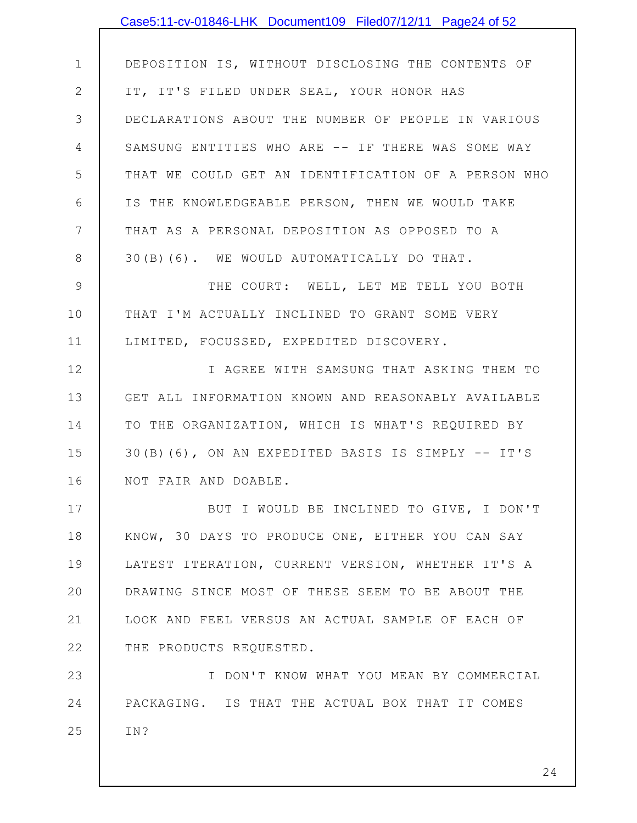|                | Case5:11-cv-01846-LHK Document109 Filed07/12/11 Page24 of 52 |
|----------------|--------------------------------------------------------------|
|                |                                                              |
| $\mathbf 1$    | DEPOSITION IS, WITHOUT DISCLOSING THE CONTENTS OF            |
| $\mathbf{2}$   | IT, IT'S FILED UNDER SEAL, YOUR HONOR HAS                    |
| 3              | DECLARATIONS ABOUT THE NUMBER OF PEOPLE IN VARIOUS           |
| 4              | SAMSUNG ENTITIES WHO ARE -- IF THERE WAS SOME WAY            |
| 5              | THAT WE COULD GET AN IDENTIFICATION OF A PERSON WHO          |
| 6              | IS THE KNOWLEDGEABLE PERSON, THEN WE WOULD TAKE              |
| $\overline{7}$ | THAT AS A PERSONAL DEPOSITION AS OPPOSED TO A                |
| 8              | 30 (B) (6). WE WOULD AUTOMATICALLY DO THAT.                  |
| $\mathcal{G}$  | THE COURT: WELL, LET ME TELL YOU BOTH                        |
| 10             | THAT I'M ACTUALLY INCLINED TO GRANT SOME VERY                |
| 11             | LIMITED, FOCUSSED, EXPEDITED DISCOVERY.                      |
| 12             | I AGREE WITH SAMSUNG THAT ASKING THEM TO                     |
| 13             | GET ALL INFORMATION KNOWN AND REASONABLY AVAILABLE           |
| 14             | TO THE ORGANIZATION, WHICH IS WHAT'S REQUIRED BY             |
| 15             | 30 (B) (6), ON AN EXPEDITED BASIS IS SIMPLY -- IT'S          |
| 16             | NOT FAIR AND DOABLE.                                         |
| 17             | BUT I WOULD BE INCLINED TO GIVE, I DON'T                     |
| 18             | KNOW, 30 DAYS TO PRODUCE ONE, EITHER YOU CAN SAY             |
| 19             | LATEST ITERATION, CURRENT VERSION, WHETHER IT'S A            |
| 20             | DRAWING SINCE MOST OF THESE SEEM TO BE ABOUT THE             |
| 21             | LOOK AND FEEL VERSUS AN ACTUAL SAMPLE OF EACH OF             |
| 22             | THE PRODUCTS REQUESTED.                                      |
| 23             | I DON'T KNOW WHAT YOU MEAN BY COMMERCIAL                     |
| 24             | PACKAGING. IS THAT THE ACTUAL BOX THAT IT COMES              |
| 25             | IN?                                                          |
|                |                                                              |
|                | 24                                                           |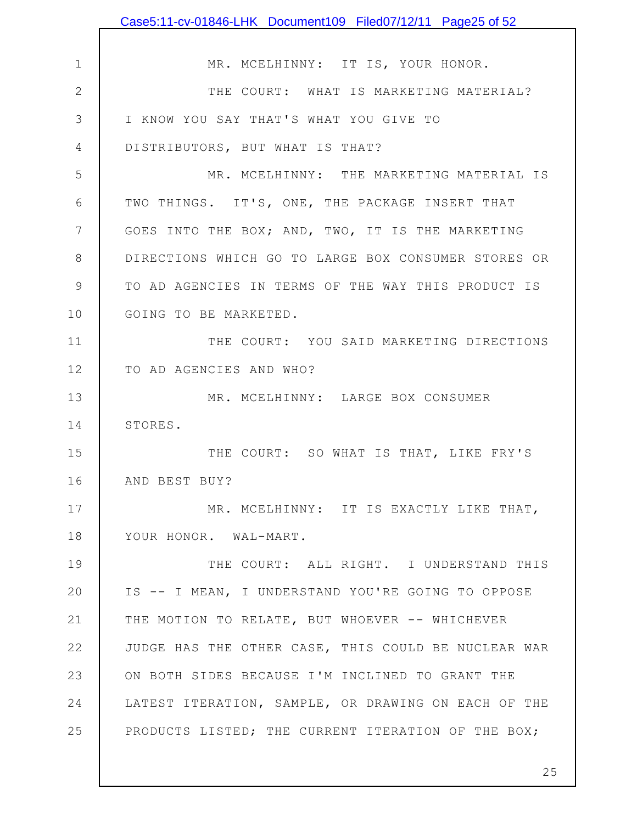|                 | Case5:11-cv-01846-LHK Document109 Filed07/12/11 Page25 of 52 |
|-----------------|--------------------------------------------------------------|
|                 |                                                              |
| $\mathbf 1$     | MR. MCELHINNY: IT IS, YOUR HONOR.                            |
| $\mathbf{2}$    | THE COURT: WHAT IS MARKETING MATERIAL?                       |
| 3               | I KNOW YOU SAY THAT'S WHAT YOU GIVE TO                       |
| 4               | DISTRIBUTORS, BUT WHAT IS THAT?                              |
| 5               | MR. MCELHINNY: THE MARKETING MATERIAL IS                     |
| 6               | TWO THINGS. IT'S, ONE, THE PACKAGE INSERT THAT               |
| $7\phantom{.0}$ | GOES INTO THE BOX; AND, TWO, IT IS THE MARKETING             |
| 8               | DIRECTIONS WHICH GO TO LARGE BOX CONSUMER STORES OR          |
| $\mathcal{G}$   | TO AD AGENCIES IN TERMS OF THE WAY THIS PRODUCT IS           |
| 10              | GOING TO BE MARKETED.                                        |
| 11              | THE COURT: YOU SAID MARKETING DIRECTIONS                     |
| 12              | TO AD AGENCIES AND WHO?                                      |
| 13              | MR. MCELHINNY: LARGE BOX CONSUMER                            |
| 14              | STORES.                                                      |
| 15              | THE COURT: SO WHAT IS THAT, LIKE FRY'S                       |
| 16              | AND BEST BUY?                                                |
| 17              | MR. MCELHINNY: IT IS EXACTLY LIKE THAT,                      |
| 18              | YOUR HONOR. WAL-MART.                                        |
| 19              | THE COURT: ALL RIGHT. I UNDERSTAND THIS                      |
| 20              | IS -- I MEAN, I UNDERSTAND YOU'RE GOING TO OPPOSE            |
| 21              | THE MOTION TO RELATE, BUT WHOEVER -- WHICHEVER               |
| 22              | JUDGE HAS THE OTHER CASE, THIS COULD BE NUCLEAR WAR          |
| 23              | ON BOTH SIDES BECAUSE I'M INCLINED TO GRANT THE              |
| 24              | LATEST ITERATION, SAMPLE, OR DRAWING ON EACH OF THE          |
| 25              | PRODUCTS LISTED; THE CURRENT ITERATION OF THE BOX;           |
|                 |                                                              |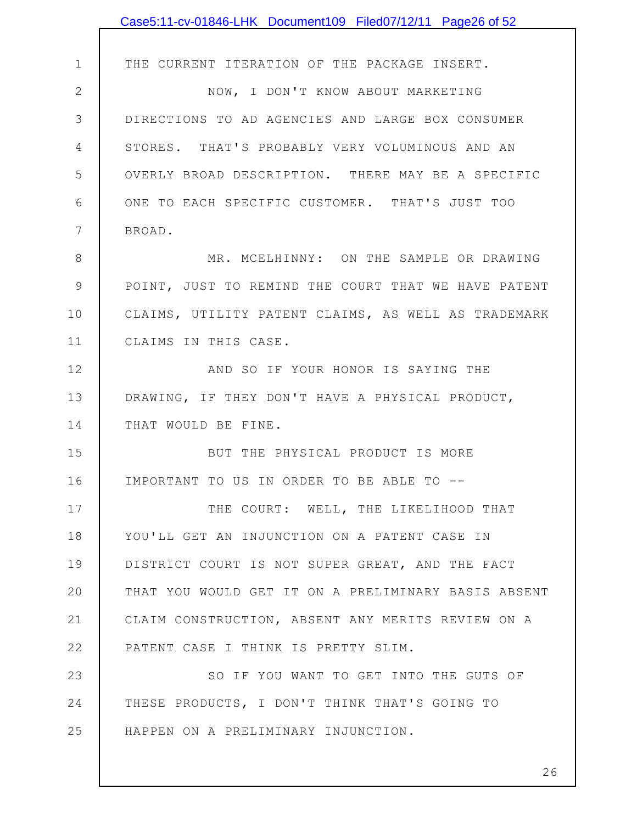|              | Case5:11-cv-01846-LHK Document109 Filed07/12/11 Page26 of 52 |
|--------------|--------------------------------------------------------------|
|              |                                                              |
| $\mathbf 1$  | THE CURRENT ITERATION OF THE PACKAGE INSERT.                 |
| $\mathbf{2}$ | NOW, I DON'T KNOW ABOUT MARKETING                            |
| 3            | DIRECTIONS TO AD AGENCIES AND LARGE BOX CONSUMER             |
| 4            | STORES. THAT'S PROBABLY VERY VOLUMINOUS AND AN               |
| 5            | OVERLY BROAD DESCRIPTION. THERE MAY BE A SPECIFIC            |
| 6            | ONE TO EACH SPECIFIC CUSTOMER. THAT'S JUST TOO               |
| 7            | BROAD.                                                       |
| $8\,$        | MR. MCELHINNY: ON THE SAMPLE OR DRAWING                      |
| $\mathsf 9$  | POINT, JUST TO REMIND THE COURT THAT WE HAVE PATENT          |
| 10           | CLAIMS, UTILITY PATENT CLAIMS, AS WELL AS TRADEMARK          |
| 11           | CLAIMS IN THIS CASE.                                         |
| 12           | AND SO IF YOUR HONOR IS SAYING THE                           |
| 13           | DRAWING, IF THEY DON'T HAVE A PHYSICAL PRODUCT,              |
| 14           | THAT WOULD BE FINE.                                          |
| 15           | BUT THE PHYSICAL PRODUCT IS MORE                             |
| 16           | IMPORTANT TO US IN ORDER TO BE ABLE TO --                    |
| 17           | THE COURT: WELL, THE LIKELIHOOD THAT                         |
| 18           | YOU'LL GET AN INJUNCTION ON A PATENT CASE IN                 |
| 19           | DISTRICT COURT IS NOT SUPER GREAT, AND THE FACT              |
| 20           | THAT YOU WOULD GET IT ON A PRELIMINARY BASIS ABSENT          |
| 21           | CLAIM CONSTRUCTION, ABSENT ANY MERITS REVIEW ON A            |
| 22           | PATENT CASE I THINK IS PRETTY SLIM.                          |
| 23           | SO IF YOU WANT TO GET INTO THE GUTS OF                       |
| 24           | THESE PRODUCTS, I DON'T THINK THAT'S GOING TO                |
| 25           | HAPPEN ON A PRELIMINARY INJUNCTION.                          |
|              |                                                              |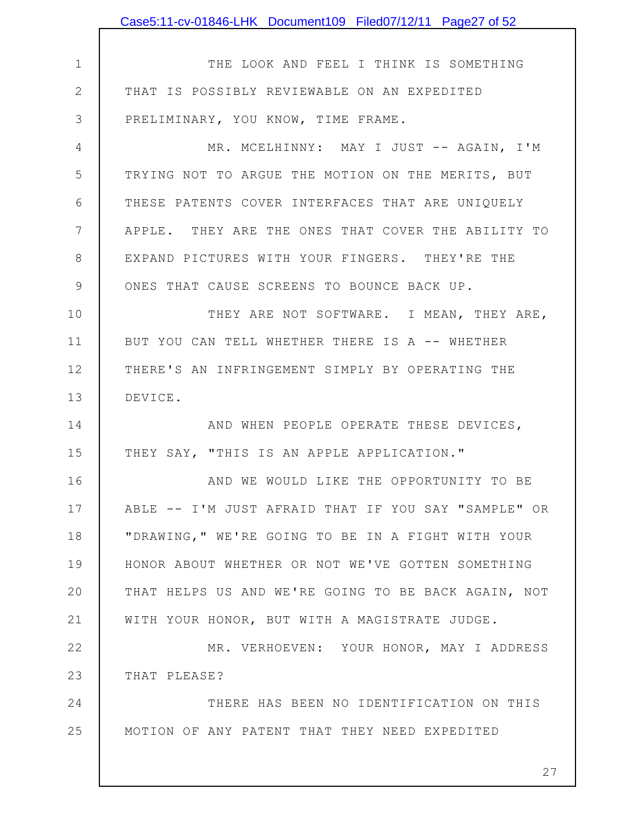|              | Case5:11-cv-01846-LHK Document109 Filed07/12/11 Page27 of 52 |
|--------------|--------------------------------------------------------------|
|              |                                                              |
| $\mathbf 1$  | THE LOOK AND FEEL I THINK IS SOMETHING                       |
| $\mathbf{2}$ | THAT IS POSSIBLY REVIEWABLE ON AN EXPEDITED                  |
| 3            | PRELIMINARY, YOU KNOW, TIME FRAME.                           |
| 4            | MR. MCELHINNY: MAY I JUST -- AGAIN, I'M                      |
| 5            | TRYING NOT TO ARGUE THE MOTION ON THE MERITS, BUT            |
| 6            | THESE PATENTS COVER INTERFACES THAT ARE UNIQUELY             |
| 7            | APPLE. THEY ARE THE ONES THAT COVER THE ABILITY TO           |
| 8            | EXPAND PICTURES WITH YOUR FINGERS. THEY'RE THE               |
| 9            | ONES THAT CAUSE SCREENS TO BOUNCE BACK UP.                   |
| 10           | THEY ARE NOT SOFTWARE. I MEAN, THEY ARE,                     |
| 11           | BUT YOU CAN TELL WHETHER THERE IS A -- WHETHER               |
| 12           | THERE'S AN INFRINGEMENT SIMPLY BY OPERATING THE              |
| 13           | DEVICE.                                                      |
| 14           | AND WHEN PEOPLE OPERATE THESE DEVICES,                       |
| 15           | THEY SAY, "THIS IS AN APPLE APPLICATION."                    |
| 16           | AND WE WOULD LIKE THE OPPORTUNITY TO BE                      |
| 17           | ABLE -- I'M JUST AFRAID THAT IF YOU SAY "SAMPLE" OR          |
| 18           | "DRAWING, " WE'RE GOING TO BE IN A FIGHT WITH YOUR           |
| 19           | HONOR ABOUT WHETHER OR NOT WE'VE GOTTEN SOMETHING            |
| 20           | THAT HELPS US AND WE'RE GOING TO BE BACK AGAIN, NOT          |
| 21           | WITH YOUR HONOR, BUT WITH A MAGISTRATE JUDGE.                |
| 22           | MR. VERHOEVEN: YOUR HONOR, MAY I ADDRESS                     |
| 23           | THAT PLEASE?                                                 |
| 24           | THERE HAS BEEN NO IDENTIFICATION ON THIS                     |
| 25           | MOTION OF ANY PATENT THAT THEY NEED EXPEDITED                |
|              |                                                              |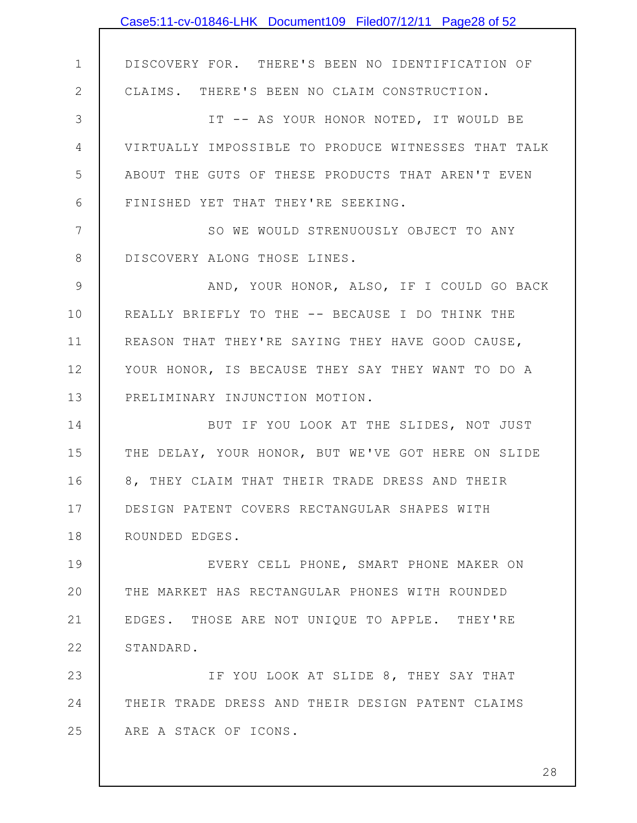|             | Case5:11-cv-01846-LHK Document109 Filed07/12/11 Page28 of 52 |
|-------------|--------------------------------------------------------------|
|             |                                                              |
| $\mathbf 1$ | DISCOVERY FOR. THERE'S BEEN NO IDENTIFICATION OF             |
| $\mathbf 2$ | CLAIMS. THERE'S BEEN NO CLAIM CONSTRUCTION.                  |
| 3           | IT -- AS YOUR HONOR NOTED, IT WOULD BE                       |
| 4           | VIRTUALLY IMPOSSIBLE TO PRODUCE WITNESSES THAT TALK          |
| 5           | ABOUT THE GUTS OF THESE PRODUCTS THAT AREN'T EVEN            |
| 6           | FINISHED YET THAT THEY'RE SEEKING.                           |
| 7           | SO WE WOULD STRENUOUSLY OBJECT TO ANY                        |
| 8           | DISCOVERY ALONG THOSE LINES.                                 |
| 9           | AND, YOUR HONOR, ALSO, IF I COULD GO BACK                    |
| 10          | REALLY BRIEFLY TO THE -- BECAUSE I DO THINK THE              |
| 11          | REASON THAT THEY'RE SAYING THEY HAVE GOOD CAUSE,             |
| 12          | YOUR HONOR, IS BECAUSE THEY SAY THEY WANT TO DO A            |
| 13          | PRELIMINARY INJUNCTION MOTION.                               |
| 14          | BUT IF YOU LOOK AT THE SLIDES, NOT JUST                      |
| 15          | THE DELAY, YOUR HONOR, BUT WE'VE GOT HERE ON SLIDE           |
| 16          | 8, THEY CLAIM THAT THEIR TRADE DRESS AND THEIR               |
| 17          | DESIGN PATENT COVERS RECTANGULAR SHAPES WITH                 |
| 18          | ROUNDED EDGES.                                               |
| 19          | EVERY CELL PHONE, SMART PHONE MAKER ON                       |
| 20          | THE MARKET HAS RECTANGULAR PHONES WITH ROUNDED               |
| 21          | EDGES. THOSE ARE NOT UNIQUE TO APPLE. THEY'RE                |
| 22          | STANDARD.                                                    |
| 23          | IF YOU LOOK AT SLIDE 8, THEY SAY THAT                        |
| 24          | THEIR TRADE DRESS AND THEIR DESIGN PATENT CLAIMS             |
| 25          | ARE A STACK OF ICONS.                                        |
|             |                                                              |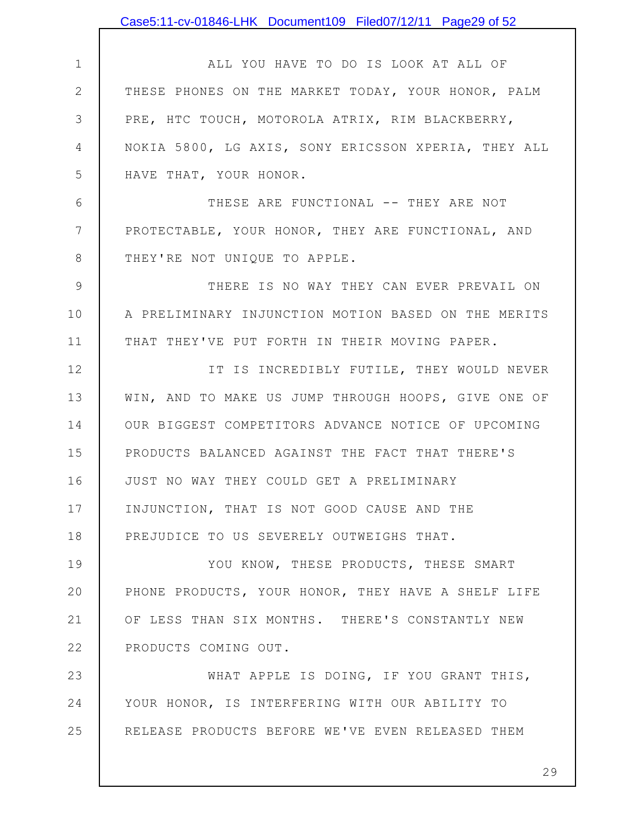|                 | Case5:11-cv-01846-LHK Document109 Filed07/12/11 Page29 of 52 |
|-----------------|--------------------------------------------------------------|
|                 |                                                              |
| $\mathbf 1$     | ALL YOU HAVE TO DO IS LOOK AT ALL OF                         |
| $\mathbf{2}$    | THESE PHONES ON THE MARKET TODAY, YOUR HONOR, PALM           |
| 3               | PRE, HTC TOUCH, MOTOROLA ATRIX, RIM BLACKBERRY,              |
| 4               | NOKIA 5800, LG AXIS, SONY ERICSSON XPERIA, THEY ALL          |
| 5               | HAVE THAT, YOUR HONOR.                                       |
| 6               | THESE ARE FUNCTIONAL -- THEY ARE NOT                         |
| $7\phantom{.0}$ | PROTECTABLE, YOUR HONOR, THEY ARE FUNCTIONAL, AND            |
| 8               | THEY'RE NOT UNIQUE TO APPLE.                                 |
| $\overline{9}$  | THERE IS NO WAY THEY CAN EVER PREVAIL ON                     |
| 10              | A PRELIMINARY INJUNCTION MOTION BASED ON THE MERITS          |
| 11              | THAT THEY'VE PUT FORTH IN THEIR MOVING PAPER.                |
| 12              | IT IS INCREDIBLY FUTILE, THEY WOULD NEVER                    |
| 13              | WIN, AND TO MAKE US JUMP THROUGH HOOPS, GIVE ONE OF          |
| 14              | OUR BIGGEST COMPETITORS ADVANCE NOTICE OF UPCOMING           |
| 15              | PRODUCTS BALANCED AGAINST THE FACT THAT THERE'S              |
| 16              | JUST NO WAY THEY COULD GET A PRELIMINARY                     |
| 17              | INJUNCTION, THAT IS NOT GOOD CAUSE AND THE                   |
| 18              | PREJUDICE TO US SEVERELY OUTWEIGHS THAT.                     |
| 19              | YOU KNOW, THESE PRODUCTS, THESE SMART                        |
| 20              | PHONE PRODUCTS, YOUR HONOR, THEY HAVE A SHELF LIFE           |
| 21              | OF LESS THAN SIX MONTHS. THERE'S CONSTANTLY NEW              |
| 22              | PRODUCTS COMING OUT.                                         |
| 23              | WHAT APPLE IS DOING, IF YOU GRANT THIS,                      |
| 24              | YOUR HONOR, IS INTERFERING WITH OUR ABILITY TO               |
| 25              | RELEASE PRODUCTS BEFORE WE'VE EVEN RELEASED THEM             |
|                 |                                                              |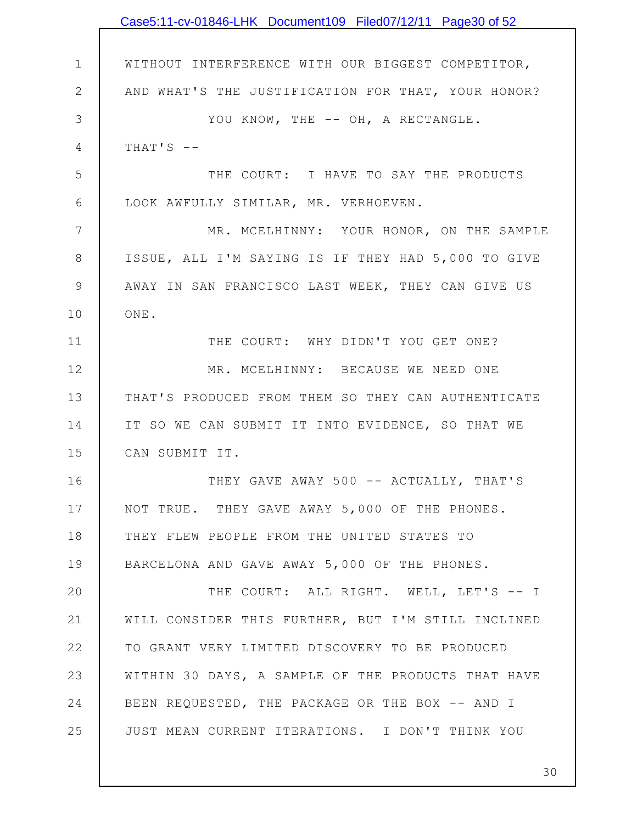|                | Case5:11-cv-01846-LHK Document109 Filed07/12/11 Page30 of 52 |
|----------------|--------------------------------------------------------------|
|                |                                                              |
| $\mathbf 1$    | WITHOUT INTERFERENCE WITH OUR BIGGEST COMPETITOR,            |
| $\mathbf{2}$   | AND WHAT'S THE JUSTIFICATION FOR THAT, YOUR HONOR?           |
| 3              | YOU KNOW, THE -- OH, A RECTANGLE.                            |
| $\overline{4}$ | THAT'S $-$                                                   |
| 5              | THE COURT: I HAVE TO SAY THE PRODUCTS                        |
| 6              | LOOK AWFULLY SIMILAR, MR. VERHOEVEN.                         |
| 7              | MR. MCELHINNY: YOUR HONOR, ON THE SAMPLE                     |
| $8\,$          | ISSUE, ALL I'M SAYING IS IF THEY HAD 5,000 TO GIVE           |
| $\mathcal{G}$  | AWAY IN SAN FRANCISCO LAST WEEK, THEY CAN GIVE US            |
| 10             | ONE.                                                         |
| 11             | THE COURT: WHY DIDN'T YOU GET ONE?                           |
| 12             | MR. MCELHINNY: BECAUSE WE NEED ONE                           |
| 13             | THAT'S PRODUCED FROM THEM SO THEY CAN AUTHENTICATE           |
| 14             | IT SO WE CAN SUBMIT IT INTO EVIDENCE, SO THAT WE             |
| 15             | CAN SUBMIT IT.                                               |
| 16             | THEY GAVE AWAY 500 -- ACTUALLY, THAT'S                       |
| 17             | NOT TRUE. THEY GAVE AWAY 5,000 OF THE PHONES.                |
| 18             | THEY FLEW PEOPLE FROM THE UNITED STATES TO                   |
| 19             | BARCELONA AND GAVE AWAY 5,000 OF THE PHONES.                 |
| 20             | THE COURT: ALL RIGHT. WELL, LET'S -- I                       |
| 21             | WILL CONSIDER THIS FURTHER, BUT I'M STILL INCLINED           |
| 22             | TO GRANT VERY LIMITED DISCOVERY TO BE PRODUCED               |
| 23             | WITHIN 30 DAYS, A SAMPLE OF THE PRODUCTS THAT HAVE           |
| 24             | BEEN REQUESTED, THE PACKAGE OR THE BOX -- AND I              |
| 25             | JUST MEAN CURRENT ITERATIONS. I DON'T THINK YOU              |
|                |                                                              |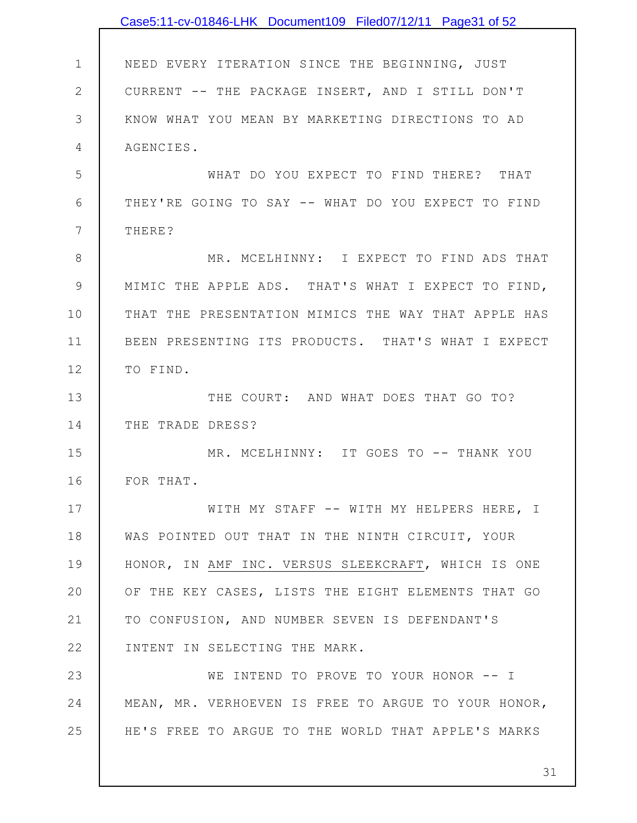|               | Case5:11-cv-01846-LHK Document109 Filed07/12/11 Page31 of 52 |
|---------------|--------------------------------------------------------------|
|               |                                                              |
| $\mathbf 1$   | NEED EVERY ITERATION SINCE THE BEGINNING, JUST               |
| $\mathbf{2}$  | CURRENT -- THE PACKAGE INSERT, AND I STILL DON'T             |
| 3             | KNOW WHAT YOU MEAN BY MARKETING DIRECTIONS TO AD             |
| 4             | AGENCIES.                                                    |
| 5             | WHAT DO YOU EXPECT TO FIND THERE? THAT                       |
| 6             | THEY'RE GOING TO SAY -- WHAT DO YOU EXPECT TO FIND           |
| 7             | THERE?                                                       |
| $8\,$         | MR. MCELHINNY: I EXPECT TO FIND ADS THAT                     |
| $\mathcal{G}$ | MIMIC THE APPLE ADS. THAT'S WHAT I EXPECT TO FIND,           |
| 10            | THAT THE PRESENTATION MIMICS THE WAY THAT APPLE HAS          |
| 11            | BEEN PRESENTING ITS PRODUCTS. THAT'S WHAT I EXPECT           |
| 12            | TO FIND.                                                     |
| 13            | THE COURT: AND WHAT DOES THAT GO TO?                         |
| 14            | THE TRADE DRESS?                                             |
| 15            | MR. MCELHINNY: IT GOES TO -- THANK YOU                       |
| 16            | FOR THAT.                                                    |
| 17            | WITH MY STAFF -- WITH MY HELPERS HERE, I                     |
| 18            | WAS POINTED OUT THAT IN THE NINTH CIRCUIT, YOUR              |
| 19            | HONOR, IN AMF INC. VERSUS SLEEKCRAFT, WHICH IS ONE           |
| 20            | OF THE KEY CASES, LISTS THE EIGHT ELEMENTS THAT GO           |
| 21            | TO CONFUSION, AND NUMBER SEVEN IS DEFENDANT'S                |
| 22            | INTENT IN SELECTING THE MARK.                                |
| 23            | WE INTEND TO PROVE TO YOUR HONOR -- I                        |
| 24            | MEAN, MR. VERHOEVEN IS FREE TO ARGUE TO YOUR HONOR,          |
| 25            | HE'S FREE TO ARGUE TO THE WORLD THAT APPLE'S MARKS           |
|               |                                                              |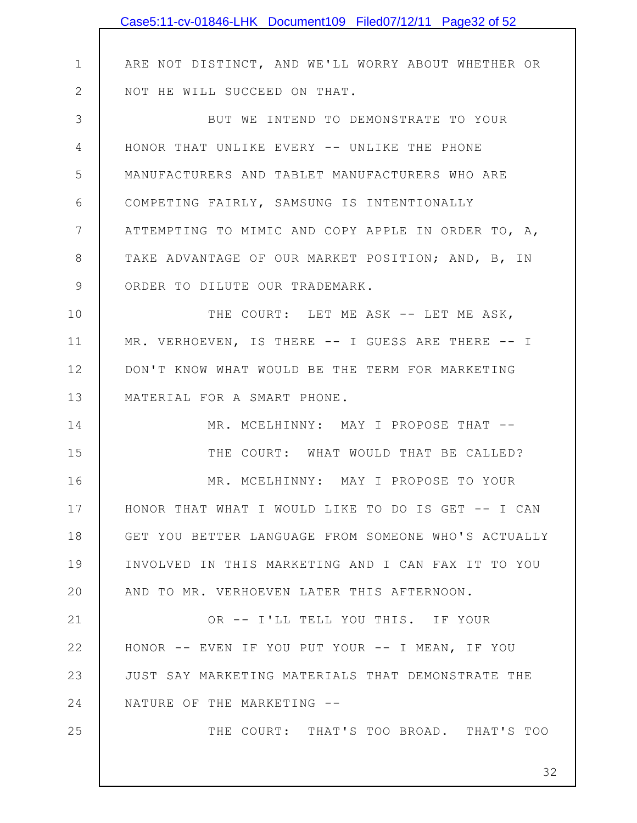|              | Case5:11-cv-01846-LHK Document109 Filed07/12/11 Page32 of 52 |
|--------------|--------------------------------------------------------------|
|              |                                                              |
| $\mathbf 1$  | ARE NOT DISTINCT, AND WE'LL WORRY ABOUT WHETHER OR           |
| $\mathbf{2}$ | NOT HE WILL SUCCEED ON THAT.                                 |
| 3            | BUT WE INTEND TO DEMONSTRATE TO YOUR                         |
| 4            | HONOR THAT UNLIKE EVERY -- UNLIKE THE PHONE                  |
| 5            | MANUFACTURERS AND TABLET MANUFACTURERS WHO ARE               |
| 6            | COMPETING FAIRLY, SAMSUNG IS INTENTIONALLY                   |
| 7            | ATTEMPTING TO MIMIC AND COPY APPLE IN ORDER TO, A,           |
| 8            | TAKE ADVANTAGE OF OUR MARKET POSITION; AND, B, IN            |
| $\mathsf 9$  | ORDER TO DILUTE OUR TRADEMARK.                               |
| 10           | THE COURT: LET ME ASK -- LET ME ASK,                         |
| 11           | MR. VERHOEVEN, IS THERE -- I GUESS ARE THERE -- I            |
| 12           | DON'T KNOW WHAT WOULD BE THE TERM FOR MARKETING              |
| 13           | MATERIAL FOR A SMART PHONE.                                  |
| 14           | MR. MCELHINNY: MAY I PROPOSE THAT --                         |
| 15           | THE COURT: WHAT WOULD THAT BE CALLED?                        |
| 16           | MR. MCELHINNY: MAY I PROPOSE TO YOUR                         |
| 17           | HONOR THAT WHAT I WOULD LIKE TO DO IS GET -- I CAN           |
| 18           | GET YOU BETTER LANGUAGE FROM SOMEONE WHO'S ACTUALLY          |
| 19           | INVOLVED IN THIS MARKETING AND I CAN FAX IT TO YOU           |
| 20           | AND TO MR. VERHOEVEN LATER THIS AFTERNOON.                   |
| 21           | OR -- I'LL TELL YOU THIS. IF YOUR                            |
| 22           | HONOR -- EVEN IF YOU PUT YOUR -- I MEAN, IF YOU              |
| 23           | JUST SAY MARKETING MATERIALS THAT DEMONSTRATE THE            |
| 24           | NATURE OF THE MARKETING --                                   |
| 25           | THE COURT: THAT'S TOO BROAD. THAT'S TOO                      |
|              |                                                              |
|              | 32                                                           |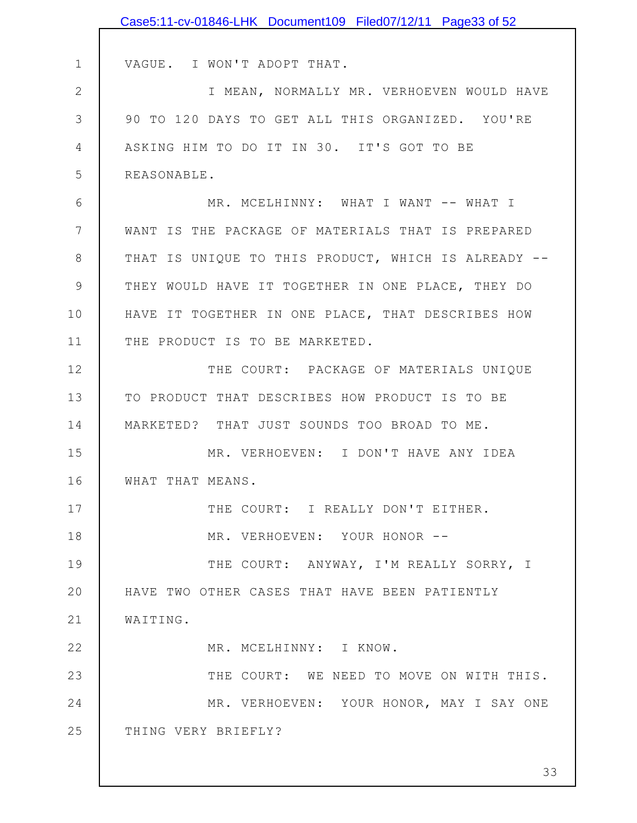|               | Case5:11-cv-01846-LHK Document109 Filed07/12/11 Page33 of 52 |
|---------------|--------------------------------------------------------------|
|               |                                                              |
| $\mathbf 1$   | VAGUE. I WON'T ADOPT THAT.                                   |
| $\mathbf{2}$  | I MEAN, NORMALLY MR. VERHOEVEN WOULD HAVE                    |
| 3             | 90 TO 120 DAYS TO GET ALL THIS ORGANIZED. YOU'RE             |
| 4             | ASKING HIM TO DO IT IN 30. IT'S GOT TO BE                    |
| 5             | REASONABLE.                                                  |
| 6             | MR. MCELHINNY: WHAT I WANT -- WHAT I                         |
| 7             | WANT IS THE PACKAGE OF MATERIALS THAT IS PREPARED            |
| $8\,$         | THAT IS UNIQUE TO THIS PRODUCT, WHICH IS ALREADY --          |
| $\mathcal{G}$ | THEY WOULD HAVE IT TOGETHER IN ONE PLACE, THEY DO            |
| 10            | HAVE IT TOGETHER IN ONE PLACE, THAT DESCRIBES HOW            |
| 11            | THE PRODUCT IS TO BE MARKETED.                               |
| 12            | THE COURT: PACKAGE OF MATERIALS UNIQUE                       |
| 13            | TO PRODUCT THAT DESCRIBES HOW PRODUCT IS TO BE               |
| 14            | MARKETED? THAT JUST SOUNDS TOO BROAD TO ME.                  |
| 15            | MR. VERHOEVEN: I DON'T HAVE ANY IDEA                         |
| 16            | WHAT THAT MEANS.                                             |
| 17            | THE COURT: I REALLY DON'T EITHER.                            |
| 18            | MR. VERHOEVEN: YOUR HONOR --                                 |
| 19            | THE COURT: ANYWAY, I'M REALLY SORRY, I                       |
| 20            | HAVE TWO OTHER CASES THAT HAVE BEEN PATIENTLY                |
| 21            | WAITING.                                                     |
| 22            | MR. MCELHINNY: I KNOW.                                       |
| 23            | THE COURT: WE NEED TO MOVE ON WITH THIS.                     |
| 24            | MR. VERHOEVEN: YOUR HONOR, MAY I SAY ONE                     |
| 25            | THING VERY BRIEFLY?                                          |
|               |                                                              |
|               | 33                                                           |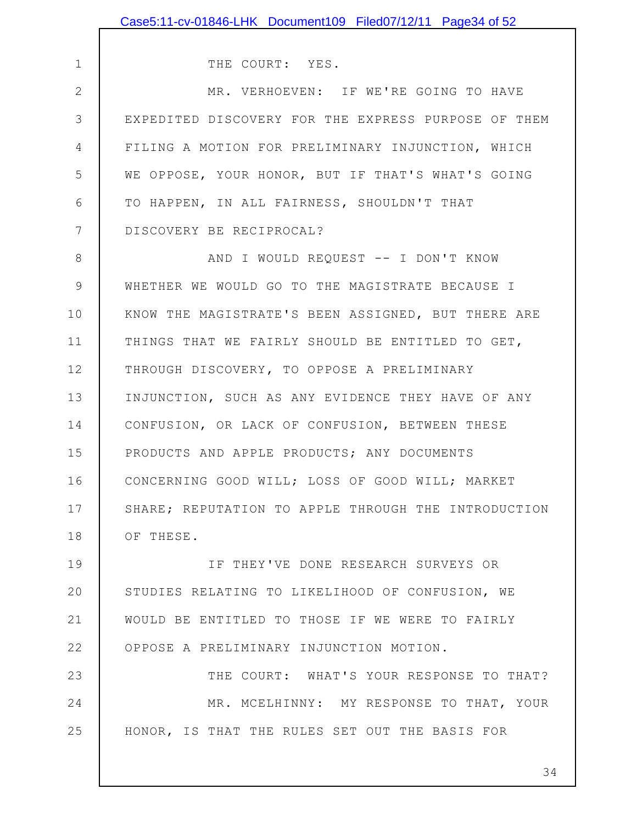1 2 3 4 5 6 7 8 9 10 11 12 13 14 15 16 17 18 19 20 21 22 23 24 25 THE COURT: YES. MR. VERHOEVEN: IF WE'RE GOING TO HAVE EXPEDITED DISCOVERY FOR THE EXPRESS PURPOSE OF THEM FILING A MOTION FOR PRELIMINARY INJUNCTION, WHICH WE OPPOSE, YOUR HONOR, BUT IF THAT'S WHAT'S GOING TO HAPPEN, IN ALL FAIRNESS, SHOULDN'T THAT DISCOVERY BE RECIPROCAL? AND I WOULD REQUEST -- I DON'T KNOW WHETHER WE WOULD GO TO THE MAGISTRATE BECAUSE I KNOW THE MAGISTRATE'S BEEN ASSIGNED, BUT THERE ARE THINGS THAT WE FAIRLY SHOULD BE ENTITLED TO GET, THROUGH DISCOVERY, TO OPPOSE A PRELIMINARY INJUNCTION, SUCH AS ANY EVIDENCE THEY HAVE OF ANY CONFUSION, OR LACK OF CONFUSION, BETWEEN THESE PRODUCTS AND APPLE PRODUCTS; ANY DOCUMENTS CONCERNING GOOD WILL; LOSS OF GOOD WILL; MARKET SHARE; REPUTATION TO APPLE THROUGH THE INTRODUCTION OF THESE. IF THEY'VE DONE RESEARCH SURVEYS OR STUDIES RELATING TO LIKELIHOOD OF CONFUSION, WE WOULD BE ENTITLED TO THOSE IF WE WERE TO FAIRLY OPPOSE A PRELIMINARY INJUNCTION MOTION. THE COURT: WHAT'S YOUR RESPONSE TO THAT? MR. MCELHINNY: MY RESPONSE TO THAT, YOUR HONOR, IS THAT THE RULES SET OUT THE BASIS FOR Case5:11-cv-01846-LHK Document109 Filed07/12/11 Page34 of 52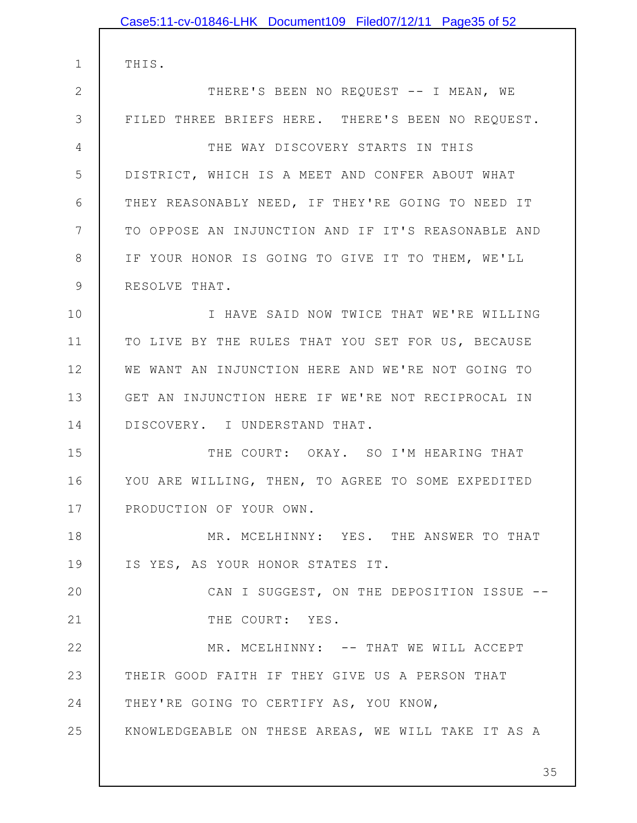1 2 3 4 5 6 7 8 9 10 11 12 13 14 15 16 17 18 19 20 21 22 23 24 25 THIS. THERE'S BEEN NO REQUEST -- I MEAN, WE FILED THREE BRIEFS HERE. THERE'S BEEN NO REQUEST. THE WAY DISCOVERY STARTS IN THIS DISTRICT, WHICH IS A MEET AND CONFER ABOUT WHAT THEY REASONABLY NEED, IF THEY'RE GOING TO NEED IT TO OPPOSE AN INJUNCTION AND IF IT'S REASONABLE AND IF YOUR HONOR IS GOING TO GIVE IT TO THEM, WE'LL RESOLVE THAT. I HAVE SAID NOW TWICE THAT WE'RE WILLING TO LIVE BY THE RULES THAT YOU SET FOR US, BECAUSE WE WANT AN INJUNCTION HERE AND WE'RE NOT GOING TO GET AN INJUNCTION HERE IF WE'RE NOT RECIPROCAL IN DISCOVERY. I UNDERSTAND THAT. THE COURT: OKAY. SO I'M HEARING THAT YOU ARE WILLING, THEN, TO AGREE TO SOME EXPEDITED PRODUCTION OF YOUR OWN. MR. MCELHINNY: YES. THE ANSWER TO THAT IS YES, AS YOUR HONOR STATES IT. CAN I SUGGEST, ON THE DEPOSITION ISSUE -- THE COURT: YES. MR. MCELHINNY: -- THAT WE WILL ACCEPT THEIR GOOD FAITH IF THEY GIVE US A PERSON THAT THEY'RE GOING TO CERTIFY AS, YOU KNOW, KNOWLEDGEABLE ON THESE AREAS, WE WILL TAKE IT AS A Case5:11-cv-01846-LHK Document109 Filed07/12/11 Page35 of 52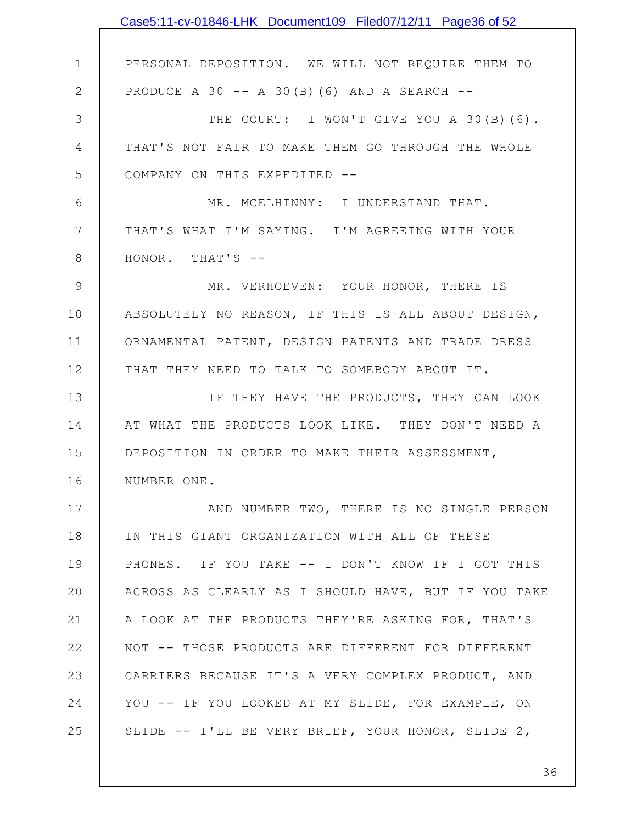|              | Case5:11-cv-01846-LHK Document109 Filed07/12/11 Page36 of 52 |
|--------------|--------------------------------------------------------------|
|              |                                                              |
| $\mathbf 1$  | PERSONAL DEPOSITION. WE WILL NOT REQUIRE THEM TO             |
| $\mathbf{2}$ | PRODUCE A 30 $-$ A 30(B)(6) AND A SEARCH $-$                 |
| 3            | THE COURT: I WON'T GIVE YOU A 30(B)(6).                      |
| 4            | THAT'S NOT FAIR TO MAKE THEM GO THROUGH THE WHOLE            |
| 5            | COMPANY ON THIS EXPEDITED --                                 |
| 6            | MR. MCELHINNY: I UNDERSTAND THAT.                            |
| 7            | THAT'S WHAT I'M SAYING. I'M AGREEING WITH YOUR               |
| $8\,$        | HONOR. THAT'S --                                             |
| $\mathsf 9$  | MR. VERHOEVEN: YOUR HONOR, THERE IS                          |
| 10           | ABSOLUTELY NO REASON, IF THIS IS ALL ABOUT DESIGN,           |
| 11           | ORNAMENTAL PATENT, DESIGN PATENTS AND TRADE DRESS            |
| 12           | THAT THEY NEED TO TALK TO SOMEBODY ABOUT IT.                 |
| 13           | IF THEY HAVE THE PRODUCTS, THEY CAN LOOK                     |
| 14           | AT WHAT THE PRODUCTS LOOK LIKE. THEY DON'T NEED A            |
| 15           | DEPOSITION IN ORDER TO MAKE THEIR ASSESSMENT,                |
| 16           | NUMBER ONE.                                                  |
| 17           | AND NUMBER TWO, THERE IS NO SINGLE PERSON                    |
| 18           | IN THIS GIANT ORGANIZATION WITH ALL OF THESE                 |
| 19           | PHONES. IF YOU TAKE -- I DON'T KNOW IF I GOT THIS            |
| 20           | ACROSS AS CLEARLY AS I SHOULD HAVE, BUT IF YOU TAKE          |
| 21           | A LOOK AT THE PRODUCTS THEY'RE ASKING FOR, THAT'S            |
| 22           | NOT -- THOSE PRODUCTS ARE DIFFERENT FOR DIFFERENT            |
| 23           | CARRIERS BECAUSE IT'S A VERY COMPLEX PRODUCT, AND            |
| 24           | YOU -- IF YOU LOOKED AT MY SLIDE, FOR EXAMPLE, ON            |
| 25           | SLIDE -- I'LL BE VERY BRIEF, YOUR HONOR, SLIDE 2,            |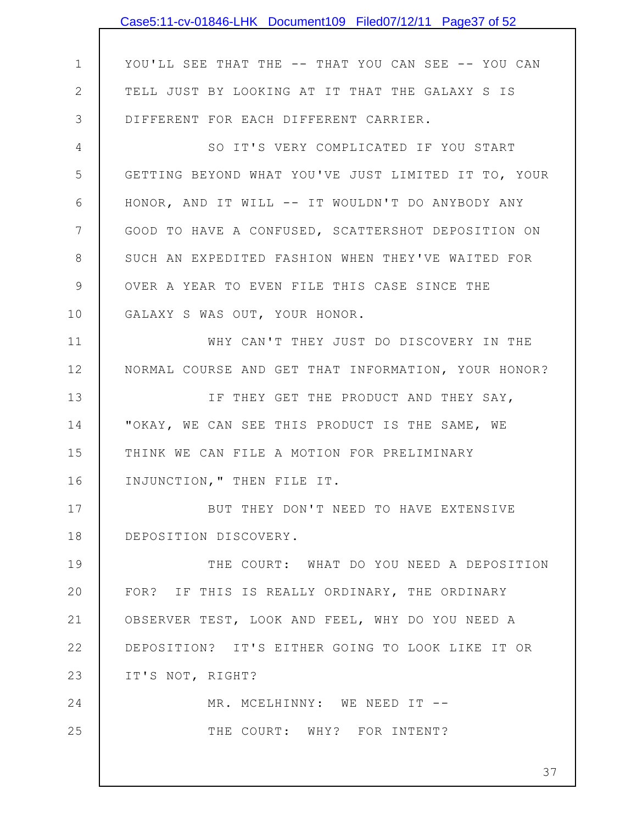|              | Case5:11-cv-01846-LHK Document109 Filed07/12/11 Page37 of 52 |
|--------------|--------------------------------------------------------------|
|              |                                                              |
| $\mathbf 1$  | YOU'LL SEE THAT THE -- THAT YOU CAN SEE -- YOU CAN           |
| $\mathbf{2}$ | TELL JUST BY LOOKING AT IT THAT THE GALAXY S IS              |
| 3            | DIFFERENT FOR EACH DIFFERENT CARRIER.                        |
| 4            | SO IT'S VERY COMPLICATED IF YOU START                        |
| 5            | GETTING BEYOND WHAT YOU'VE JUST LIMITED IT TO, YOUR          |
| 6            | HONOR, AND IT WILL -- IT WOULDN'T DO ANYBODY ANY             |
| 7            | GOOD TO HAVE A CONFUSED, SCATTERSHOT DEPOSITION ON           |
| 8            | SUCH AN EXPEDITED FASHION WHEN THEY'VE WAITED FOR            |
| 9            | OVER A YEAR TO EVEN FILE THIS CASE SINCE THE                 |
| 10           | GALAXY S WAS OUT, YOUR HONOR.                                |
| 11           | WHY CAN'T THEY JUST DO DISCOVERY IN THE                      |
| 12           | NORMAL COURSE AND GET THAT INFORMATION, YOUR HONOR?          |
| 13           | IF THEY GET THE PRODUCT AND THEY SAY,                        |
| 14           | "OKAY, WE CAN SEE THIS PRODUCT IS THE SAME, WE               |
| 15           | THINK WE CAN FILE A MOTION FOR PRELIMINARY                   |
| 16           | INJUNCTION, " THEN FILE IT.                                  |
| 17           | BUT THEY DON'T NEED TO HAVE EXTENSIVE                        |
| 18           | DEPOSITION DISCOVERY.                                        |
| 19           | THE COURT: WHAT DO YOU NEED A DEPOSITION                     |
| 20           | FOR? IF THIS IS REALLY ORDINARY, THE ORDINARY                |
| 21           | OBSERVER TEST, LOOK AND FEEL, WHY DO YOU NEED A              |
| 22           | DEPOSITION? IT'S EITHER GOING TO LOOK LIKE IT OR             |
| 23           | IT'S NOT, RIGHT?                                             |
| 24           | MR. MCELHINNY: WE NEED IT --                                 |
| 25           | THE COURT: WHY? FOR INTENT?                                  |
|              | 37                                                           |
|              |                                                              |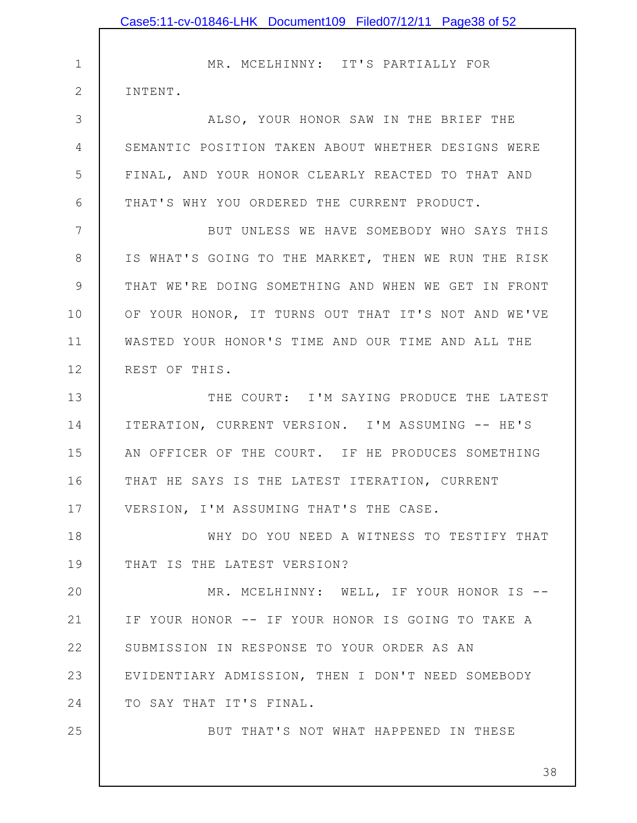1 2 3 4 5 6 7 8 9 10 11 12 13 14 15 16 17 18 19 20 21 22 23 24 25 MR. MCELHINNY: IT'S PARTIALLY FOR INTENT. ALSO, YOUR HONOR SAW IN THE BRIEF THE SEMANTIC POSITION TAKEN ABOUT WHETHER DESIGNS WERE FINAL, AND YOUR HONOR CLEARLY REACTED TO THAT AND THAT'S WHY YOU ORDERED THE CURRENT PRODUCT. BUT UNLESS WE HAVE SOMEBODY WHO SAYS THIS IS WHAT'S GOING TO THE MARKET, THEN WE RUN THE RISK THAT WE'RE DOING SOMETHING AND WHEN WE GET IN FRONT OF YOUR HONOR, IT TURNS OUT THAT IT'S NOT AND WE'VE WASTED YOUR HONOR'S TIME AND OUR TIME AND ALL THE REST OF THIS. THE COURT: I'M SAYING PRODUCE THE LATEST ITERATION, CURRENT VERSION. I'M ASSUMING -- HE'S AN OFFICER OF THE COURT. IF HE PRODUCES SOMETHING THAT HE SAYS IS THE LATEST ITERATION, CURRENT VERSION, I'M ASSUMING THAT'S THE CASE. WHY DO YOU NEED A WITNESS TO TESTIFY THAT THAT IS THE LATEST VERSION? MR. MCELHINNY: WELL, IF YOUR HONOR IS --IF YOUR HONOR -- IF YOUR HONOR IS GOING TO TAKE A SUBMISSION IN RESPONSE TO YOUR ORDER AS AN EVIDENTIARY ADMISSION, THEN I DON'T NEED SOMEBODY TO SAY THAT IT'S FINAL. BUT THAT'S NOT WHAT HAPPENED IN THESE Case5:11-cv-01846-LHK Document109 Filed07/12/11 Page38 of 52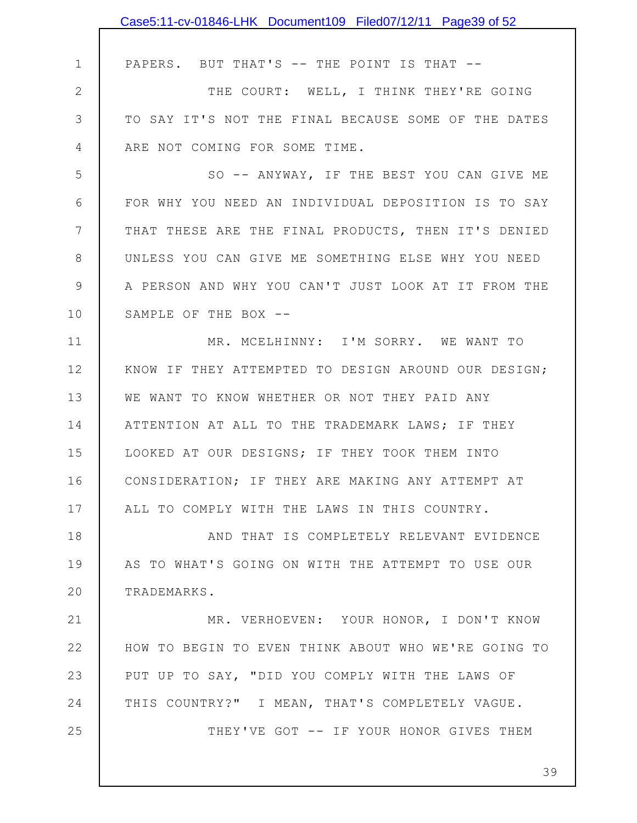|              | Case5:11-cv-01846-LHK Document109 Filed07/12/11 Page39 of 52 |
|--------------|--------------------------------------------------------------|
|              |                                                              |
| $\mathbf 1$  | PAPERS. BUT THAT'S -- THE POINT IS THAT --                   |
| $\mathbf{2}$ | THE COURT: WELL, I THINK THEY'RE GOING                       |
| 3            | TO SAY IT'S NOT THE FINAL BECAUSE SOME OF THE DATES          |
| 4            | ARE NOT COMING FOR SOME TIME.                                |
| 5            | SO -- ANYWAY, IF THE BEST YOU CAN GIVE ME                    |
| 6            | FOR WHY YOU NEED AN INDIVIDUAL DEPOSITION IS TO SAY          |
| 7            | THAT THESE ARE THE FINAL PRODUCTS, THEN IT'S DENIED          |
| 8            | UNLESS YOU CAN GIVE ME SOMETHING ELSE WHY YOU NEED           |
| 9            | A PERSON AND WHY YOU CAN'T JUST LOOK AT IT FROM THE          |
| 10           | SAMPLE OF THE BOX --                                         |
| 11           | MR. MCELHINNY: I'M SORRY. WE WANT TO                         |
| 12           | KNOW IF THEY ATTEMPTED TO DESIGN AROUND OUR DESIGN;          |
| 13           | WE WANT TO KNOW WHETHER OR NOT THEY PAID ANY                 |
| 14           | ATTENTION AT ALL TO THE TRADEMARK LAWS; IF THEY              |
| 15           | LOOKED AT OUR DESIGNS; IF THEY TOOK THEM INTO                |
| 16           | CONSIDERATION; IF THEY ARE MAKING ANY ATTEMPT AT             |
| 17           | ALL TO COMPLY WITH THE LAWS IN THIS COUNTRY.                 |
| 18           | AND THAT IS COMPLETELY RELEVANT EVIDENCE                     |
| 19           | AS TO WHAT'S GOING ON WITH THE ATTEMPT TO USE OUR            |
| 20           | TRADEMARKS.                                                  |
| 21           | MR. VERHOEVEN: YOUR HONOR, I DON'T KNOW                      |
| 22           | HOW TO BEGIN TO EVEN THINK ABOUT WHO WE'RE GOING TO          |
| 23           | PUT UP TO SAY, "DID YOU COMPLY WITH THE LAWS OF              |
| 24           | THIS COUNTRY?" I MEAN, THAT'S COMPLETELY VAGUE.              |
| 25           | THEY'VE GOT -- IF YOUR HONOR GIVES THEM                      |
|              |                                                              |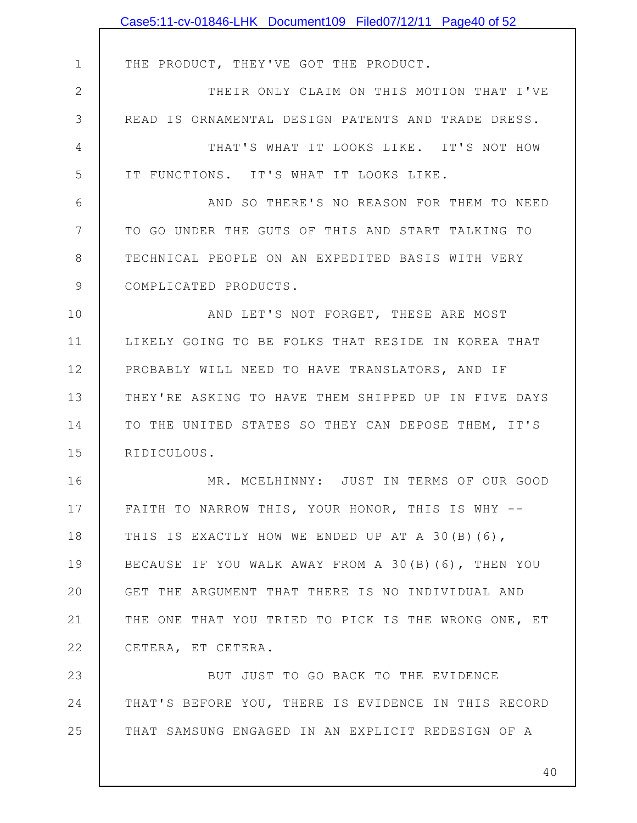|               | Case5:11-cv-01846-LHK Document109 Filed07/12/11 Page40 of 52 |
|---------------|--------------------------------------------------------------|
|               |                                                              |
| 1             | THE PRODUCT, THEY'VE GOT THE PRODUCT.                        |
| $\mathbf{2}$  | THEIR ONLY CLAIM ON THIS MOTION THAT I'VE                    |
| 3             | READ IS ORNAMENTAL DESIGN PATENTS AND TRADE DRESS.           |
| 4             | THAT'S WHAT IT LOOKS LIKE. IT'S NOT HOW                      |
| 5             | IT FUNCTIONS. IT'S WHAT IT LOOKS LIKE.                       |
| 6             | AND SO THERE'S NO REASON FOR THEM TO NEED                    |
| 7             | TO GO UNDER THE GUTS OF THIS AND START TALKING TO            |
| 8             | TECHNICAL PEOPLE ON AN EXPEDITED BASIS WITH VERY             |
| $\mathcal{G}$ | COMPLICATED PRODUCTS.                                        |
| 10            | AND LET'S NOT FORGET, THESE ARE MOST                         |
| 11            | LIKELY GOING TO BE FOLKS THAT RESIDE IN KOREA THAT           |
| 12            | PROBABLY WILL NEED TO HAVE TRANSLATORS, AND IF               |
| 13            | THEY'RE ASKING TO HAVE THEM SHIPPED UP IN FIVE DAYS          |
| 14            | TO THE UNITED STATES SO THEY CAN DEPOSE THEM, IT'S           |
| 15            | RIDICULOUS.                                                  |
| 16            | MR. MCELHINNY: JUST IN TERMS OF OUR GOOD                     |
| 17            | FAITH TO NARROW THIS, YOUR HONOR, THIS IS WHY --             |
| 18            | THIS IS EXACTLY HOW WE ENDED UP AT A 30(B)(6),               |
| 19            | BECAUSE IF YOU WALK AWAY FROM A 30(B)(6), THEN YOU           |
| 20            | GET THE ARGUMENT THAT THERE IS NO INDIVIDUAL AND             |
| 21            | THE ONE THAT YOU TRIED TO PICK IS THE WRONG ONE, ET          |
| 22            | CETERA, ET CETERA.                                           |
| 23            | BUT JUST TO GO BACK TO THE EVIDENCE                          |
| 24            | THAT'S BEFORE YOU, THERE IS EVIDENCE IN THIS RECORD          |
| 25            | THAT SAMSUNG ENGAGED IN AN EXPLICIT REDESIGN OF A            |
|               | 40                                                           |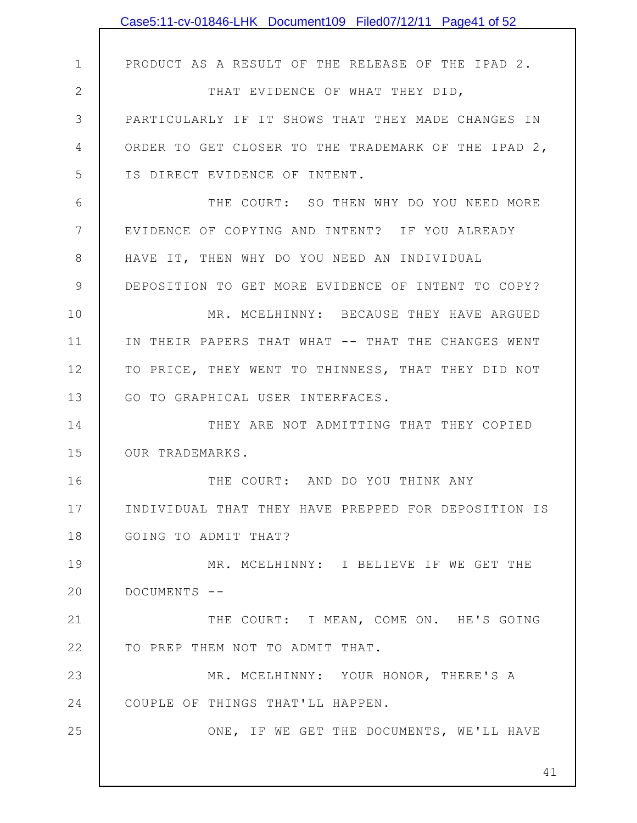|              | Case5:11-cv-01846-LHK Document109 Filed07/12/11 Page41 of 52 |
|--------------|--------------------------------------------------------------|
|              |                                                              |
| $\mathbf 1$  | PRODUCT AS A RESULT OF THE RELEASE OF THE IPAD 2.            |
| $\mathbf{2}$ | THAT EVIDENCE OF WHAT THEY DID,                              |
| 3            | PARTICULARLY IF IT SHOWS THAT THEY MADE CHANGES IN           |
| 4            | ORDER TO GET CLOSER TO THE TRADEMARK OF THE IPAD 2,          |
| 5            | IS DIRECT EVIDENCE OF INTENT.                                |
| 6            | THE COURT: SO THEN WHY DO YOU NEED MORE                      |
| 7            | EVIDENCE OF COPYING AND INTENT? IF YOU ALREADY               |
| $8\,$        | HAVE IT, THEN WHY DO YOU NEED AN INDIVIDUAL                  |
| 9            | DEPOSITION TO GET MORE EVIDENCE OF INTENT TO COPY?           |
| 10           | MR. MCELHINNY: BECAUSE THEY HAVE ARGUED                      |
| 11           | IN THEIR PAPERS THAT WHAT -- THAT THE CHANGES WENT           |
| 12           | TO PRICE, THEY WENT TO THINNESS, THAT THEY DID NOT           |
| 13           | GO TO GRAPHICAL USER INTERFACES.                             |
| 14           | THEY ARE NOT ADMITTING THAT THEY COPIED                      |
| 15           | OUR TRADEMARKS.                                              |
| 16           | THE COURT: AND DO YOU THINK ANY                              |
| 17           | INDIVIDUAL THAT THEY HAVE PREPPED FOR DEPOSITION IS          |
| 18           | GOING TO ADMIT THAT?                                         |
| 19           | MR. MCELHINNY: I BELIEVE IF WE GET THE                       |
| 20           | DOCUMENTS --                                                 |
| 21           | THE COURT: I MEAN, COME ON. HE'S GOING                       |
| 22           | TO PREP THEM NOT TO ADMIT THAT.                              |
| 23           | MR. MCELHINNY: YOUR HONOR, THERE'S A                         |
| 24           | COUPLE OF THINGS THAT'LL HAPPEN.                             |
| 25           | ONE, IF WE GET THE DOCUMENTS, WE'LL HAVE                     |
|              |                                                              |
|              | 41                                                           |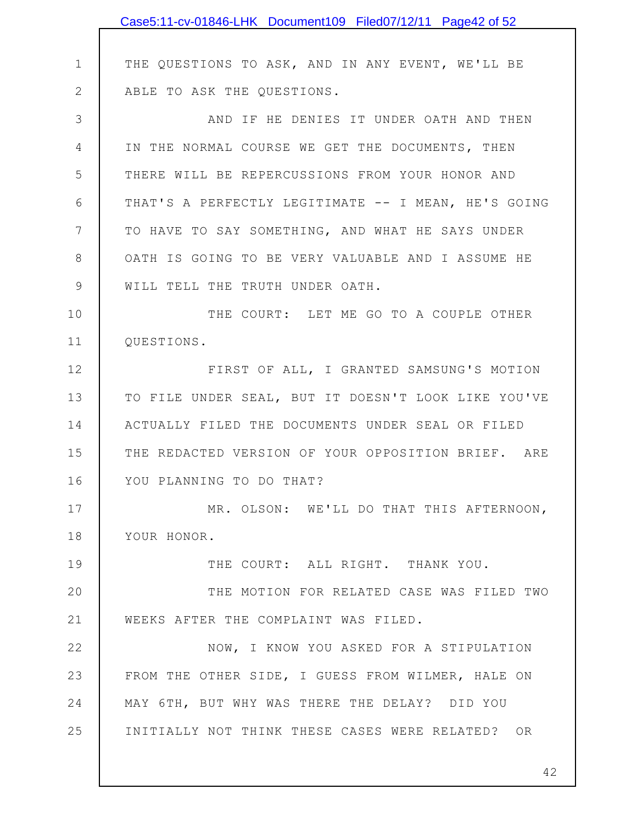|              | Case5:11-cv-01846-LHK Document109 Filed07/12/11 Page42 of 52 |
|--------------|--------------------------------------------------------------|
|              |                                                              |
| $\mathbf 1$  | THE QUESTIONS TO ASK, AND IN ANY EVENT, WE'LL BE             |
| $\mathbf{2}$ | ABLE TO ASK THE QUESTIONS.                                   |
| 3            | AND IF HE DENIES IT UNDER OATH AND THEN                      |
| 4            | IN THE NORMAL COURSE WE GET THE DOCUMENTS, THEN              |
| 5            | THERE WILL BE REPERCUSSIONS FROM YOUR HONOR AND              |
| 6            | THAT'S A PERFECTLY LEGITIMATE -- I MEAN, HE'S GOING          |
| 7            | TO HAVE TO SAY SOMETHING, AND WHAT HE SAYS UNDER             |
| 8            | OATH IS GOING TO BE VERY VALUABLE AND I ASSUME HE            |
| 9            | WILL TELL THE TRUTH UNDER OATH.                              |
| 10           | THE COURT: LET ME GO TO A COUPLE OTHER                       |
| 11           | QUESTIONS.                                                   |
| 12           | FIRST OF ALL, I GRANTED SAMSUNG'S MOTION                     |
| 13           | TO FILE UNDER SEAL, BUT IT DOESN'T LOOK LIKE YOU'VE          |
| 14           | ACTUALLY FILED THE DOCUMENTS UNDER SEAL OR FILED             |
| 15           | THE REDACTED VERSION OF YOUR OPPOSITION BRIEF. ARE           |
| 16           | YOU PLANNING TO DO THAT?                                     |
| 17           | MR. OLSON: WE'LL DO THAT THIS AFTERNOON,                     |
| 18           | YOUR HONOR.                                                  |
| 19           | THE COURT: ALL RIGHT. THANK YOU.                             |
| 20           | THE MOTION FOR RELATED CASE WAS FILED TWO                    |
| 21           | WEEKS AFTER THE COMPLAINT WAS FILED.                         |
| 22           | NOW, I KNOW YOU ASKED FOR A STIPULATION                      |
| 23           | FROM THE OTHER SIDE, I GUESS FROM WILMER, HALE ON            |
| 24           | MAY 6TH, BUT WHY WAS THERE THE DELAY? DID YOU                |
| 25           | INITIALLY NOT THINK THESE CASES WERE RELATED? OR             |
|              |                                                              |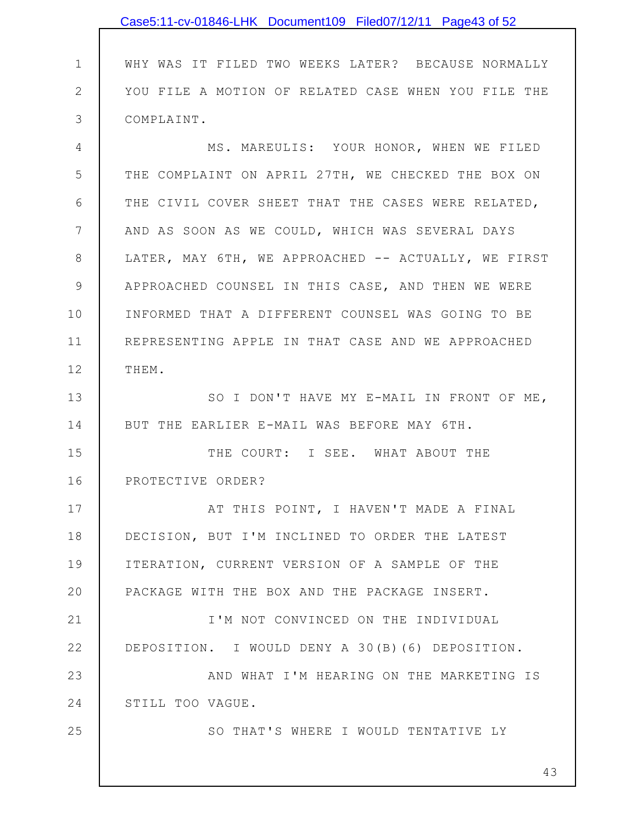|                 | Case5:11-cv-01846-LHK Document109 Filed07/12/11 Page43 of 52 |
|-----------------|--------------------------------------------------------------|
|                 |                                                              |
| $\mathbf 1$     | WHY WAS IT FILED TWO WEEKS LATER? BECAUSE NORMALLY           |
| $\mathbf{2}$    | YOU FILE A MOTION OF RELATED CASE WHEN YOU FILE THE          |
| 3               | COMPLAINT.                                                   |
| 4               | MS. MAREULIS: YOUR HONOR, WHEN WE FILED                      |
| 5               | THE COMPLAINT ON APRIL 27TH, WE CHECKED THE BOX ON           |
| 6               | THE CIVIL COVER SHEET THAT THE CASES WERE RELATED,           |
| $7\phantom{.0}$ | AND AS SOON AS WE COULD, WHICH WAS SEVERAL DAYS              |
| 8               | LATER, MAY 6TH, WE APPROACHED -- ACTUALLY, WE FIRST          |
| $\mathcal{G}$   | APPROACHED COUNSEL IN THIS CASE, AND THEN WE WERE            |
| 10              | INFORMED THAT A DIFFERENT COUNSEL WAS GOING TO BE            |
| 11              | REPRESENTING APPLE IN THAT CASE AND WE APPROACHED            |
| 12              | THEM.                                                        |
| 13              | SO I DON'T HAVE MY E-MAIL IN FRONT OF ME,                    |
| 14              | BUT THE EARLIER E-MAIL WAS BEFORE MAY 6TH.                   |
| 15              | THE COURT: I SEE. WHAT ABOUT THE                             |
| 16              | PROTECTIVE ORDER?                                            |
| 17              | AT THIS POINT, I HAVEN'T MADE A FINAL                        |
| 18              | DECISION, BUT I'M INCLINED TO ORDER THE LATEST               |
| 19              | ITERATION, CURRENT VERSION OF A SAMPLE OF THE                |
| 20              | PACKAGE WITH THE BOX AND THE PACKAGE INSERT.                 |
| 21              | I'M NOT CONVINCED ON THE INDIVIDUAL                          |
| 22              | DEPOSITION. I WOULD DENY A 30(B) (6) DEPOSITION.             |
| 23              | AND WHAT I'M HEARING ON THE MARKETING IS                     |
| 24              | STILL TOO VAGUE.                                             |
| 25              | SO THAT'S WHERE I WOULD TENTATIVE LY                         |
|                 |                                                              |
|                 | 43                                                           |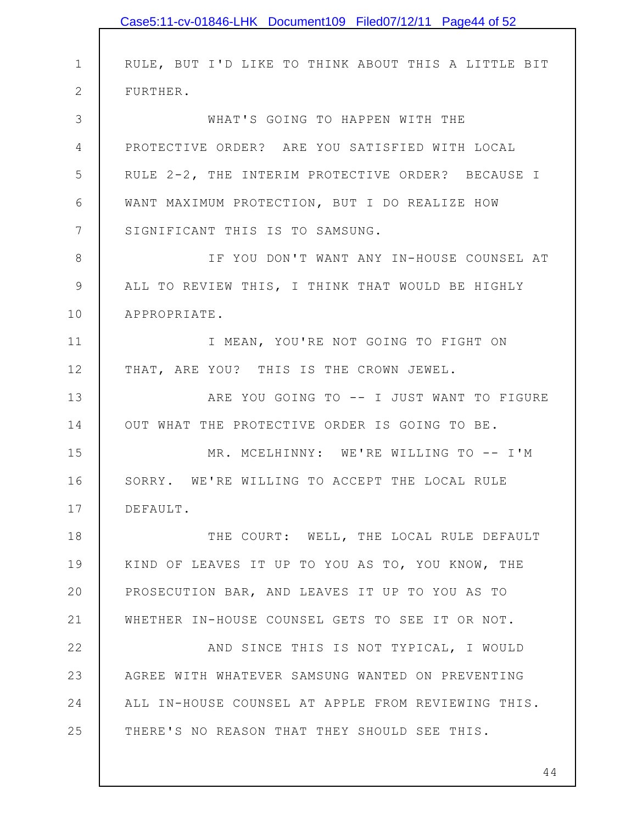|             | Case5:11-cv-01846-LHK Document109 Filed07/12/11 Page44 of 52 |
|-------------|--------------------------------------------------------------|
|             |                                                              |
| $\mathbf 1$ | RULE, BUT I'D LIKE TO THINK ABOUT THIS A LITTLE BIT          |
| 2           | FURTHER.                                                     |
| 3           | WHAT'S GOING TO HAPPEN WITH THE                              |
| 4           | PROTECTIVE ORDER? ARE YOU SATISFIED WITH LOCAL               |
| 5           | RULE 2-2, THE INTERIM PROTECTIVE ORDER? BECAUSE I            |
| 6           | WANT MAXIMUM PROTECTION, BUT I DO REALIZE HOW                |
| 7           | SIGNIFICANT THIS IS TO SAMSUNG.                              |
| 8           | IF YOU DON'T WANT ANY IN-HOUSE COUNSEL AT                    |
| 9           | ALL TO REVIEW THIS, I THINK THAT WOULD BE HIGHLY             |
| 10          | APPROPRIATE.                                                 |
| 11          | I MEAN, YOU'RE NOT GOING TO FIGHT ON                         |
| 12          | THAT, ARE YOU? THIS IS THE CROWN JEWEL.                      |
| 13          | ARE YOU GOING TO -- I JUST WANT TO FIGURE                    |
| 14          | OUT WHAT THE PROTECTIVE ORDER IS GOING TO BE.                |
| 15          | MR. MCELHINNY: WE'RE WILLING TO -- I'M                       |
| 16          | SORRY. WE'RE WILLING TO ACCEPT THE LOCAL RULE                |
| 17          | DEFAULT.                                                     |
| 18          | THE COURT: WELL, THE LOCAL RULE DEFAULT                      |
| 19          | KIND OF LEAVES IT UP TO YOU AS TO, YOU KNOW, THE             |
| 20          | PROSECUTION BAR, AND LEAVES IT UP TO YOU AS TO               |
| 21          | WHETHER IN-HOUSE COUNSEL GETS TO SEE IT OR NOT.              |
| 22          | AND SINCE THIS IS NOT TYPICAL, I WOULD                       |
| 23          | AGREE WITH WHATEVER SAMSUNG WANTED ON PREVENTING             |
| 24          | ALL IN-HOUSE COUNSEL AT APPLE FROM REVIEWING THIS.           |
| 25          | THERE'S NO REASON THAT THEY SHOULD SEE THIS.                 |
|             |                                                              |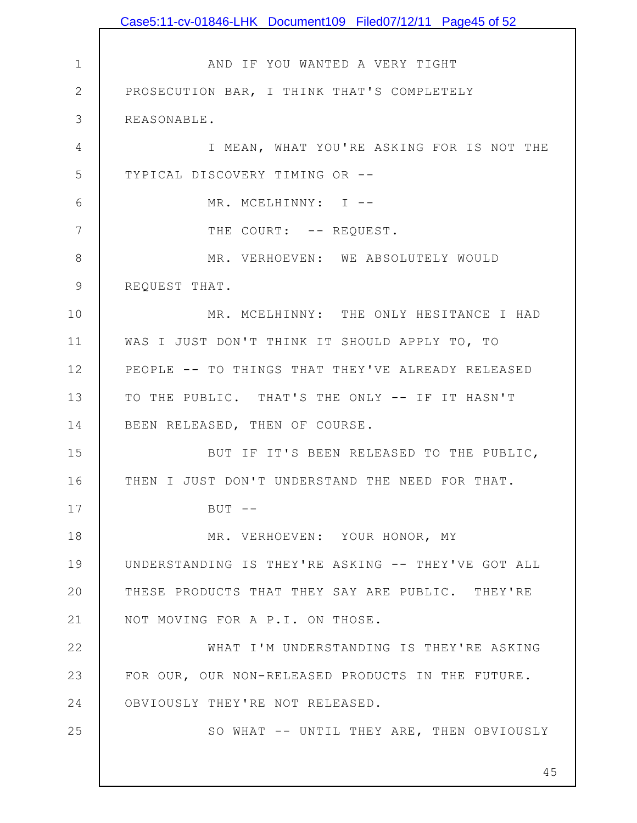1 2 3 4 5 6 7 8 9 10 11 12 13 14 15 16 17 18 19 20 21 22 23 24 25 45 AND IF YOU WANTED A VERY TIGHT PROSECUTION BAR, I THINK THAT'S COMPLETELY REASONABLE. I MEAN, WHAT YOU'RE ASKING FOR IS NOT THE TYPICAL DISCOVERY TIMING OR -- MR. MCELHINNY: I --THE COURT: -- REQUEST. MR. VERHOEVEN: WE ABSOLUTELY WOULD REQUEST THAT. MR. MCELHINNY: THE ONLY HESITANCE I HAD WAS I JUST DON'T THINK IT SHOULD APPLY TO, TO PEOPLE -- TO THINGS THAT THEY'VE ALREADY RELEASED TO THE PUBLIC. THAT'S THE ONLY -- IF IT HASN'T BEEN RELEASED, THEN OF COURSE. BUT IF IT'S BEEN RELEASED TO THE PUBLIC, THEN I JUST DON'T UNDERSTAND THE NEED FOR THAT.  $BUT$   $--$ MR. VERHOEVEN: YOUR HONOR, MY UNDERSTANDING IS THEY'RE ASKING -- THEY'VE GOT ALL THESE PRODUCTS THAT THEY SAY ARE PUBLIC. THEY'RE NOT MOVING FOR A P.I. ON THOSE. WHAT I'M UNDERSTANDING IS THEY'RE ASKING FOR OUR, OUR NON-RELEASED PRODUCTS IN THE FUTURE. OBVIOUSLY THEY'RE NOT RELEASED. SO WHAT -- UNTIL THEY ARE, THEN OBVIOUSLY Case5:11-cv-01846-LHK Document109 Filed07/12/11 Page45 of 52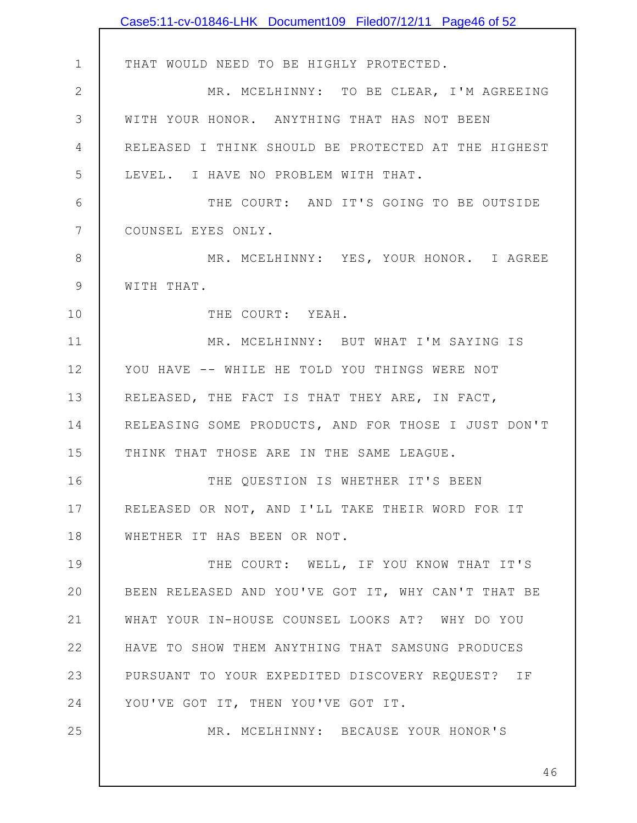|                | Case5:11-cv-01846-LHK Document109 Filed07/12/11 Page46 of 52 |
|----------------|--------------------------------------------------------------|
|                |                                                              |
| $\mathbf 1$    | THAT WOULD NEED TO BE HIGHLY PROTECTED.                      |
| $\mathbf{2}$   | MR. MCELHINNY: TO BE CLEAR, I'M AGREEING                     |
| $\mathcal{S}$  | WITH YOUR HONOR. ANYTHING THAT HAS NOT BEEN                  |
| 4              | RELEASED I THINK SHOULD BE PROTECTED AT THE HIGHEST          |
| 5              | LEVEL. I HAVE NO PROBLEM WITH THAT.                          |
| 6              | THE COURT: AND IT'S GOING TO BE OUTSIDE                      |
| $\overline{7}$ | COUNSEL EYES ONLY.                                           |
| $8\,$          | MR. MCELHINNY: YES, YOUR HONOR. I AGREE                      |
| $\mathcal{G}$  | WITH THAT.                                                   |
| 10             | THE COURT: YEAH.                                             |
| 11             | MR. MCELHINNY: BUT WHAT I'M SAYING IS                        |
| 12             | YOU HAVE -- WHILE HE TOLD YOU THINGS WERE NOT                |
| 13             | RELEASED, THE FACT IS THAT THEY ARE, IN FACT,                |
| 14             | RELEASING SOME PRODUCTS, AND FOR THOSE I JUST DON'T          |
| 15             | THINK THAT THOSE ARE IN THE SAME LEAGUE.                     |
| 16             | THE QUESTION IS WHETHER IT'S BEEN                            |
| 17             | RELEASED OR NOT, AND I'LL TAKE THEIR WORD FOR IT             |
| 18             | WHETHER IT HAS BEEN OR NOT.                                  |
| 19             | THE COURT: WELL, IF YOU KNOW THAT IT'S                       |
| 20             | BEEN RELEASED AND YOU'VE GOT IT, WHY CAN'T THAT BE           |
| 21             | WHAT YOUR IN-HOUSE COUNSEL LOOKS AT? WHY DO YOU              |
| 22             | HAVE TO SHOW THEM ANYTHING THAT SAMSUNG PRODUCES             |
| 23             | PURSUANT TO YOUR EXPEDITED DISCOVERY REQUEST? IF             |
| 24             | YOU'VE GOT IT, THEN YOU'VE GOT IT.                           |
| 25             | MR. MCELHINNY: BECAUSE YOUR HONOR'S                          |
|                |                                                              |
|                | 46                                                           |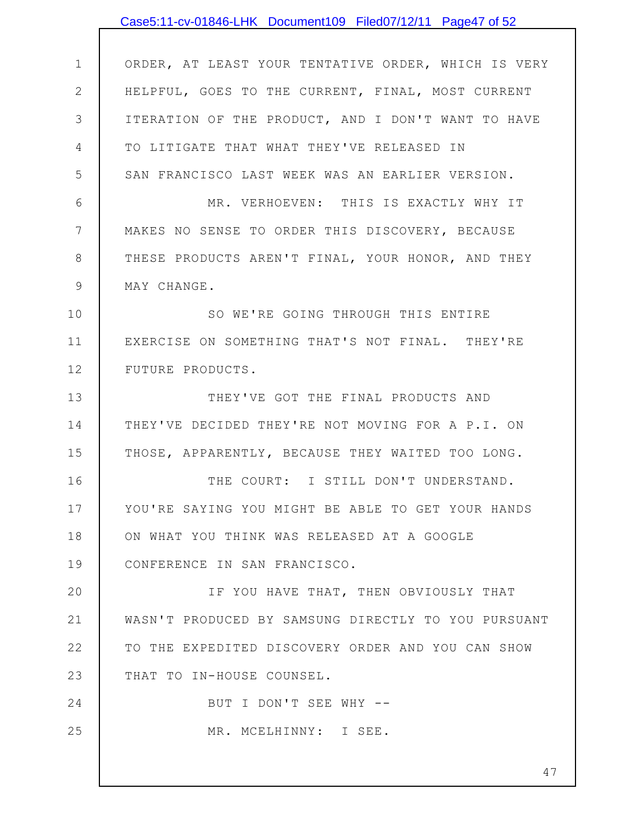|                 | Case5:11-cv-01846-LHK Document109 Filed07/12/11 Page47 of 52 |
|-----------------|--------------------------------------------------------------|
|                 |                                                              |
| $\mathbf 1$     | ORDER, AT LEAST YOUR TENTATIVE ORDER, WHICH IS VERY          |
| $\mathbf{2}$    | HELPFUL, GOES TO THE CURRENT, FINAL, MOST CURRENT            |
| 3               | ITERATION OF THE PRODUCT, AND I DON'T WANT TO HAVE           |
| 4               | TO LITIGATE THAT WHAT THEY'VE RELEASED IN                    |
| 5               | SAN FRANCISCO LAST WEEK WAS AN EARLIER VERSION.              |
| 6               | MR. VERHOEVEN: THIS IS EXACTLY WHY IT                        |
| $7\phantom{.0}$ | MAKES NO SENSE TO ORDER THIS DISCOVERY, BECAUSE              |
| $8\,$           | THESE PRODUCTS AREN'T FINAL, YOUR HONOR, AND THEY            |
| $\mathsf 9$     | MAY CHANGE.                                                  |
| 10              | SO WE'RE GOING THROUGH THIS ENTIRE                           |
| 11              | EXERCISE ON SOMETHING THAT'S NOT FINAL. THEY'RE              |
| 12              | FUTURE PRODUCTS.                                             |
| 13              | THEY'VE GOT THE FINAL PRODUCTS AND                           |
| 14              | THEY'VE DECIDED THEY'RE NOT MOVING FOR A P.I. ON             |
| 15              | THOSE, APPARENTLY, BECAUSE THEY WAITED TOO LONG.             |
| 16              | THE COURT: I STILL DON'T UNDERSTAND.                         |
| 17              | YOU'RE SAYING YOU MIGHT BE ABLE TO GET YOUR HANDS            |
| 18              | ON WHAT YOU THINK WAS RELEASED AT A GOOGLE                   |
| 19              | CONFERENCE IN SAN FRANCISCO.                                 |
| 20              | IF YOU HAVE THAT, THEN OBVIOUSLY THAT                        |
| 21              | WASN'T PRODUCED BY SAMSUNG DIRECTLY TO YOU PURSUANT          |
| 22              | TO THE EXPEDITED DISCOVERY ORDER AND YOU CAN SHOW            |
| 23              | THAT TO IN-HOUSE COUNSEL.                                    |
| 24              | BUT I DON'T SEE WHY --                                       |
| 25              | MR. MCELHINNY: I SEE.                                        |
|                 |                                                              |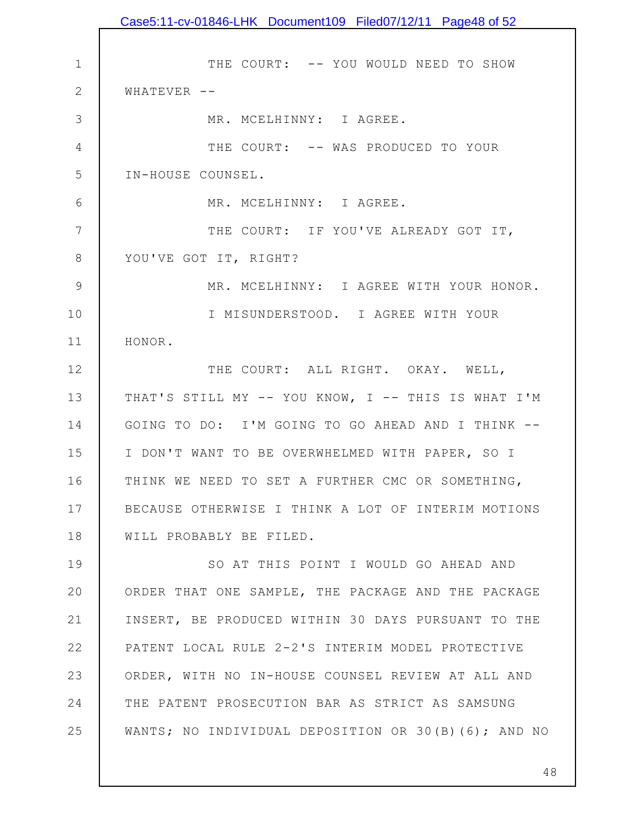1 2 3 4 5 6 7 8 9 10 11 12 13 14 15 16 17 18 19 20 21 22 23 24 25 THE COURT: -- YOU WOULD NEED TO SHOW  $WHATEVER$  --MR. MCELHINNY: I AGREE. THE COURT: -- WAS PRODUCED TO YOUR IN-HOUSE COUNSEL. MR. MCELHINNY: I AGREE. THE COURT: IF YOU'VE ALREADY GOT IT, YOU'VE GOT IT, RIGHT? MR. MCELHINNY: I AGREE WITH YOUR HONOR. I MISUNDERSTOOD. I AGREE WITH YOUR HONOR. THE COURT: ALL RIGHT. OKAY. WELL, THAT'S STILL MY -- YOU KNOW, I -- THIS IS WHAT I'M GOING TO DO: I'M GOING TO GO AHEAD AND I THINK -- I DON'T WANT TO BE OVERWHELMED WITH PAPER, SO I THINK WE NEED TO SET A FURTHER CMC OR SOMETHING, BECAUSE OTHERWISE I THINK A LOT OF INTERIM MOTIONS WILL PROBABLY BE FILED. SO AT THIS POINT I WOULD GO AHEAD AND ORDER THAT ONE SAMPLE, THE PACKAGE AND THE PACKAGE INSERT, BE PRODUCED WITHIN 30 DAYS PURSUANT TO THE PATENT LOCAL RULE 2-2'S INTERIM MODEL PROTECTIVE ORDER, WITH NO IN-HOUSE COUNSEL REVIEW AT ALL AND THE PATENT PROSECUTION BAR AS STRICT AS SAMSUNG WANTS; NO INDIVIDUAL DEPOSITION OR 30(B)(6); AND NO Case5:11-cv-01846-LHK Document109 Filed07/12/11 Page48 of 52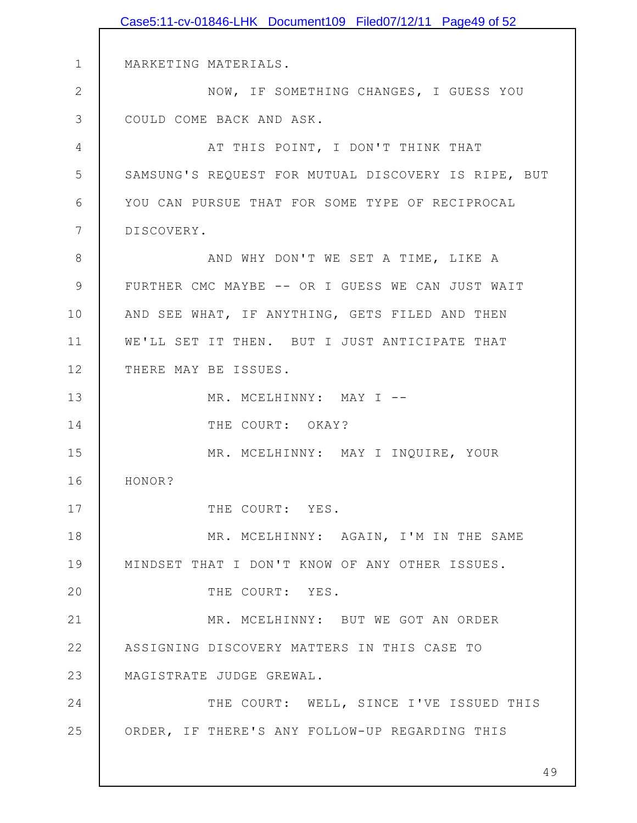1 2 3 4 5 6 7 8 9 10 11 12 13 14 15 16 17 18 19 20 21 22 23 24 25 MARKETING MATERIALS. NOW, IF SOMETHING CHANGES, I GUESS YOU COULD COME BACK AND ASK. AT THIS POINT, I DON'T THINK THAT SAMSUNG'S REQUEST FOR MUTUAL DISCOVERY IS RIPE, BUT YOU CAN PURSUE THAT FOR SOME TYPE OF RECIPROCAL DISCOVERY. AND WHY DON'T WE SET A TIME, LIKE A FURTHER CMC MAYBE -- OR I GUESS WE CAN JUST WAIT AND SEE WHAT, IF ANYTHING, GETS FILED AND THEN WE'LL SET IT THEN. BUT I JUST ANTICIPATE THAT THERE MAY BE ISSUES. MR. MCELHINNY: MAY I --THE COURT: OKAY? MR. MCELHINNY: MAY I INQUIRE, YOUR HONOR? THE COURT: YES. MR. MCELHINNY: AGAIN, I'M IN THE SAME MINDSET THAT I DON'T KNOW OF ANY OTHER ISSUES. THE COURT: YES. MR. MCELHINNY: BUT WE GOT AN ORDER ASSIGNING DISCOVERY MATTERS IN THIS CASE TO MAGISTRATE JUDGE GREWAL. THE COURT: WELL, SINCE I'VE ISSUED THIS ORDER, IF THERE'S ANY FOLLOW-UP REGARDING THIS Case5:11-cv-01846-LHK Document109 Filed07/12/11 Page49 of 52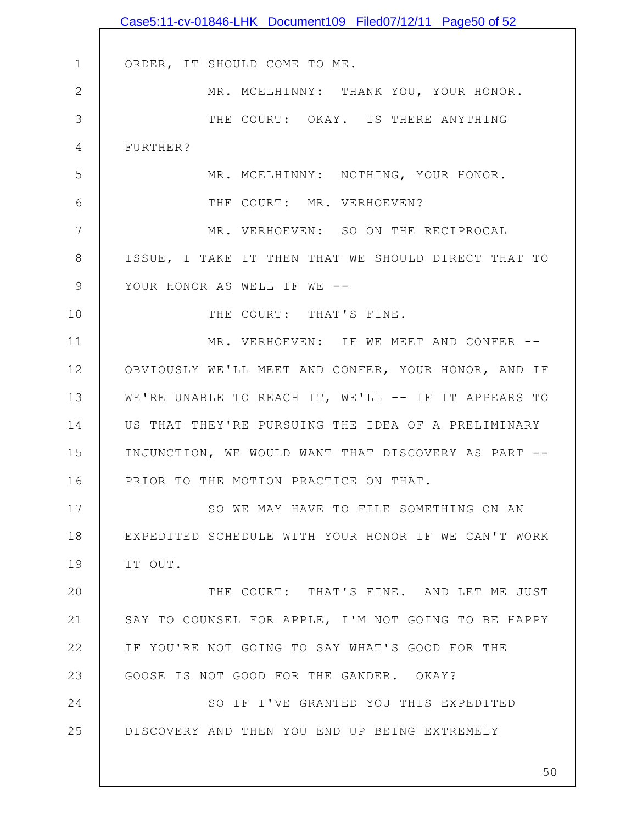|               | Case5:11-cv-01846-LHK Document109 Filed07/12/11 Page50 of 52 |
|---------------|--------------------------------------------------------------|
|               |                                                              |
| $\mathbf 1$   | ORDER, IT SHOULD COME TO ME.                                 |
| $\mathbf{2}$  | MR. MCELHINNY: THANK YOU, YOUR HONOR.                        |
| 3             | THE COURT: OKAY. IS THERE ANYTHING                           |
| 4             | FURTHER?                                                     |
| 5             | MR. MCELHINNY: NOTHING, YOUR HONOR.                          |
| 6             | THE COURT: MR. VERHOEVEN?                                    |
| 7             | MR. VERHOEVEN: SO ON THE RECIPROCAL                          |
| 8             | ISSUE, I TAKE IT THEN THAT WE SHOULD DIRECT THAT TO          |
| $\mathcal{G}$ | YOUR HONOR AS WELL IF WE --                                  |
| 10            | THE COURT: THAT'S FINE.                                      |
| 11            | MR. VERHOEVEN: IF WE MEET AND CONFER --                      |
| 12            | OBVIOUSLY WE'LL MEET AND CONFER, YOUR HONOR, AND IF          |
| 13            | WE'RE UNABLE TO REACH IT, WE'LL -- IF IT APPEARS TO          |
| 14            | US THAT THEY'RE PURSUING THE IDEA OF A PRELIMINARY           |
| 15            | INJUNCTION, WE WOULD WANT THAT DISCOVERY AS PART --          |
| 16            | PRIOR TO THE MOTION PRACTICE ON THAT.                        |
| 17            | SO WE MAY HAVE TO FILE SOMETHING ON AN                       |
| 18            | EXPEDITED SCHEDULE WITH YOUR HONOR IF WE CAN'T WORK          |
| 19            | IT OUT.                                                      |
| 20            | THE COURT: THAT'S FINE. AND LET ME JUST                      |
| 21            | SAY TO COUNSEL FOR APPLE, I'M NOT GOING TO BE HAPPY          |
| 22            | IF YOU'RE NOT GOING TO SAY WHAT'S GOOD FOR THE               |
| 23            | GOOSE IS NOT GOOD FOR THE GANDER. OKAY?                      |
| 24            | SO IF I'VE GRANTED YOU THIS EXPEDITED                        |
| 25            | DISCOVERY AND THEN YOU END UP BEING EXTREMELY                |
|               |                                                              |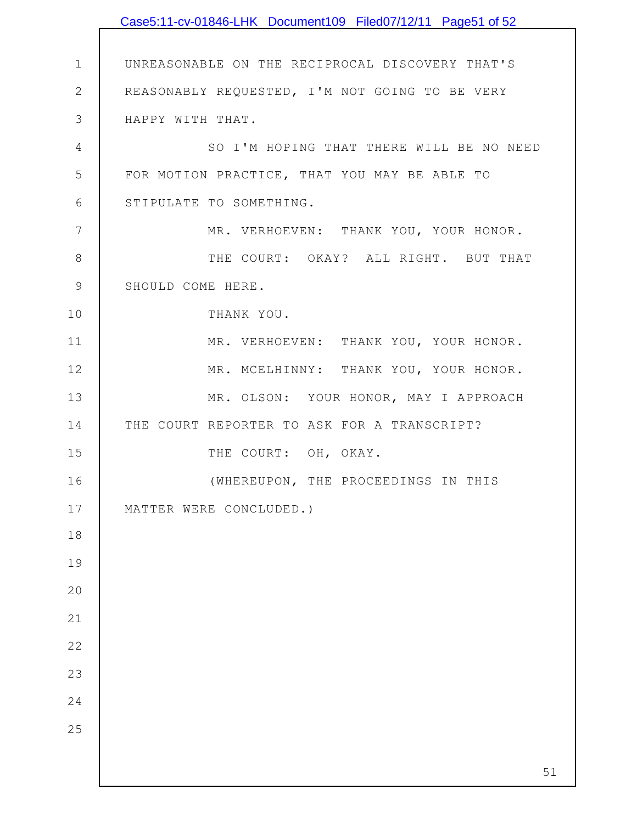|                | Case5:11-cv-01846-LHK Document109 Filed07/12/11 Page51 of 52 |
|----------------|--------------------------------------------------------------|
|                |                                                              |
| $\mathbf 1$    | UNREASONABLE ON THE RECIPROCAL DISCOVERY THAT'S              |
| $\mathbf{2}$   | REASONABLY REQUESTED, I'M NOT GOING TO BE VERY               |
| $\mathcal{S}$  | HAPPY WITH THAT.                                             |
| 4              | SO I'M HOPING THAT THERE WILL BE NO NEED                     |
| 5              | FOR MOTION PRACTICE, THAT YOU MAY BE ABLE TO                 |
| 6              | STIPULATE TO SOMETHING.                                      |
| $\overline{7}$ | MR. VERHOEVEN: THANK YOU, YOUR HONOR.                        |
| $\,8\,$        | THE COURT: OKAY? ALL RIGHT. BUT THAT                         |
| $\mathcal{G}$  | SHOULD COME HERE.                                            |
| 10             | THANK YOU.                                                   |
| 11             | MR. VERHOEVEN: THANK YOU, YOUR HONOR.                        |
| 12             | MR. MCELHINNY: THANK YOU, YOUR HONOR.                        |
| 13             | MR. OLSON: YOUR HONOR, MAY I APPROACH                        |
| 14             | THE COURT REPORTER TO ASK FOR A TRANSCRIPT?                  |
| 15             | THE COURT: OH, OKAY.                                         |
| 16             | (WHEREUPON, THE PROCEEDINGS IN THIS                          |
| 17             | MATTER WERE CONCLUDED.)                                      |
| 18             |                                                              |
| 19             |                                                              |
| 20             |                                                              |
| 21             |                                                              |
| 22             |                                                              |
| 23             |                                                              |
| 24             |                                                              |
| 25             |                                                              |
|                |                                                              |
|                | 51                                                           |